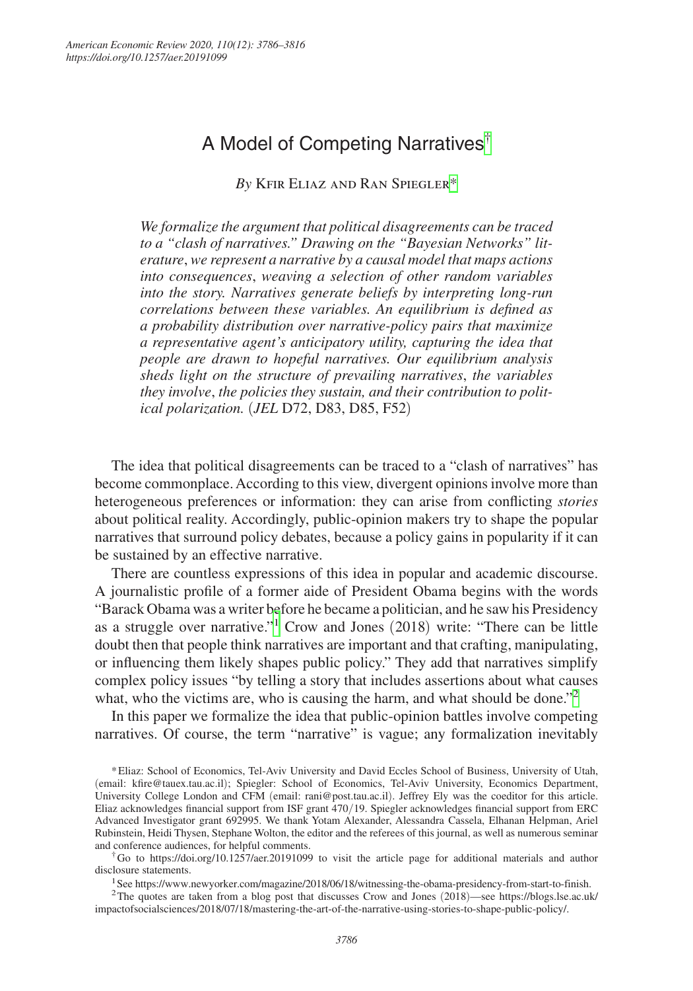# A Model of Competing Narratives[†](#page-0-0)

*By* Kfir Eliaz and Ran Spiegle[r\\*](#page-0-1)

*We formalize the argument that political disagreements can be traced to a "clash of narratives." Drawing on the "Bayesian Networks" literature*, *we represent a narrative by a causal model that maps actions into consequences*, *weaving a selection of other random variables into the story. Narratives generate beliefs by interpreting long-run correlations between these variables. An equilibrium is defined as a probability distribution over narrative-policy pairs that maximize a representative agent's anticipatory utility, capturing the idea that people are drawn to hopeful narratives. Our equilibrium analysis sheds light on the structure of prevailing narratives*, *the variables they involve*, *the policies they sustain, and their contribution to political polarization.* (*JEL* D72, D83, D85, F52)

The idea that political disagreements can be traced to a "clash of narratives" has become commonplace. According to this view, divergent opinions involve more than heterogeneous preferences or information: they can arise from conflicting *stories* about political reality. Accordingly, public-opinion makers try to shape the popular narratives that surround policy debates, because a policy gains in popularity if it can be sustained by an effective narrative.

There are countless expressions of this idea in popular and academic discourse. A journalistic profile of a former aide of President Obama begins with the words "Barack Obama was a writer before he became a politician, and he saw his Presidency as a struggle over narrative."[1](#page-0-2) Crow and Jones (2018) write: "There can be little doubt then that people think narratives are important and that crafting, manipulating, or influencing them likely shapes public policy." They add that narratives simplify complex policy issues "by telling a story that includes assertions about what causes what, who the victims are, who is causing the harm, and what should be done."<sup>[2](#page-0-3)</sup>

In this paper we formalize the idea that public-opinion battles involve competing narratives. Of course, the term "narrative" is vague; any formalization inevitably

<span id="page-0-1"></span>\*Eliaz: School of Economics, Tel-Aviv University and David Eccles School of Business, University of Utah, (email: [kfire@tauex.tau.ac.il](mailto:kfire@tauex.tau.ac.il)); Spiegler: School of Economics, Tel-Aviv University, Economics Department, University College London and CFM (email: [rani@post.tau.ac.il](mailto:rani@post.tau.ac.il)). Jeffrey Ely was the coeditor for this article. Eliaz acknowledges financial support from ISF grant 470/19. Spiegler acknowledges financial support from ERC Advanced Investigator grant 692995. We thank Yotam Alexander, Alessandra Cassela, Elhanan Helpman, Ariel Rubinstein, Heidi Thysen, Stephane Wolton, the editor and the referees of this journal, as well as numerous seminar and conference audiences, for helpful comments.

<span id="page-0-0"></span>†Go to <https://doi.org/10.1257/aer.20191099>to visit the article page for additional materials and author disclosure statements.

<span id="page-0-3"></span><span id="page-0-2"></span>1See [https://www.newyorker.com/magazine/2018/06/18/witnessing-the-obama-presidency-from-start-to-finish.](https://www.newyorker.com/magazine/2018/06/18/witnessing-the-obama-presidency-from-start-to-finish)

2The quotes are taken from a blog post that discusses Crow and Jones (2018)—see [https://blogs.lse.ac.uk/](https://blogs.lse.ac.uk/impactofsocialsciences/2018/07/18/mastering-the-art-of-the-narrative-using-stories-to-shape-public-policy/) [impactofsocialsciences/2018/07/18/mastering-the-art-of-the-narrative-using-stories-to-shape-public-policy/.](https://blogs.lse.ac.uk/impactofsocialsciences/2018/07/18/mastering-the-art-of-the-narrative-using-stories-to-shape-public-policy/)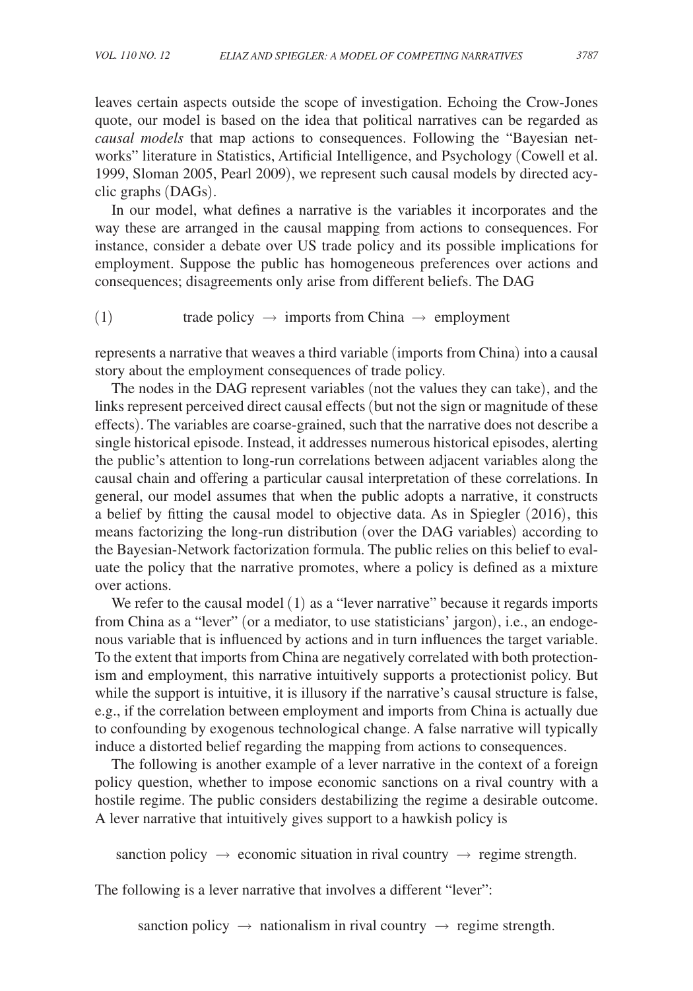leaves certain aspects outside the scope of investigation. Echoing the Crow-Jones quote, our model is based on the idea that political narratives can be regarded as *causal models* that map actions to consequences. Following the "Bayesian networks" literature in Statistics, Artificial Intelligence, and Psychology (Cowell et al. 1999, Sloman 2005, Pearl 2009), we represent such causal models by directed acyclic graphs (DAGs).

In our model, what defines a narrative is the variables it incorporates and the way these are arranged in the causal mapping from actions to consequences. For instance, consider a debate over US trade policy and its possible implications for employment. Suppose the public has homogeneous preferences over actions and consequences; disagreements only arise from different beliefs. The DAG

(1) trade policy  $\rightarrow$  imports from China  $\rightarrow$  employment

represents a narrative that weaves a third variable (imports from China) into a causal story about the employment consequences of trade policy.

The nodes in the DAG represent variables (not the values they can take), and the links represent perceived direct causal effects (but not the sign or magnitude of these effects). The variables are coarse-grained, such that the narrative does not describe a single historical episode. Instead, it addresses numerous historical episodes, alerting the public's attention to long-run correlations between adjacent variables along the causal chain and offering a particular causal interpretation of these correlations. In general, our model assumes that when the public adopts a narrative, it constructs a belief by fitting the causal model to objective data. As in Spiegler (2016), this means factorizing the long-run distribution (over the DAG variables) according to the Bayesian-Network factorization formula. The public relies on this belief to evaluate the policy that the narrative promotes, where a policy is defined as a mixture over actions.

We refer to the causal model (1) as a "lever narrative" because it regards imports from China as a "lever" (or a mediator, to use statisticians' jargon), i.e., an endogenous variable that is influenced by actions and in turn influences the target variable. To the extent that imports from China are negatively correlated with both protectionism and employment, this narrative intuitively supports a protectionist policy. But while the support is intuitive, it is illusory if the narrative's causal structure is false, e.g., if the correlation between employment and imports from China is actually due to confounding by exogenous technological change. A false narrative will typically induce a distorted belief regarding the mapping from actions to consequences.

The following is another example of a lever narrative in the context of a foreign policy question, whether to impose economic sanctions on a rival country with a hostile regime. The public considers destabilizing the regime a desirable outcome. A lever narrative that intuitively gives support to a hawkish policy is

sanction policy  $\rightarrow$  economic situation in rival country  $\rightarrow$  regime strength.

The following is a lever narrative that involves a different "lever":

sanction policy  $\rightarrow$  nationalism in rival country  $\rightarrow$  regime strength.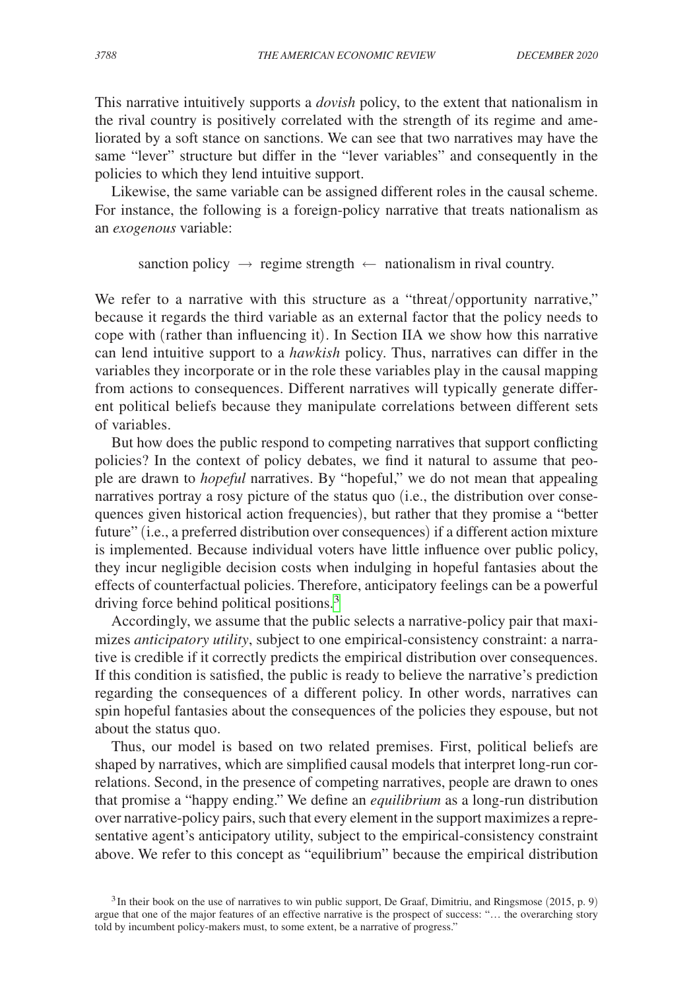This narrative intuitively supports a *dovish* policy, to the extent that nationalism in the rival country is positively correlated with the strength of its regime and ameliorated by a soft stance on sanctions. We can see that two narratives may have the same "lever" structure but differ in the "lever variables" and consequently in the policies to which they lend intuitive support.

Likewise, the same variable can be assigned different roles in the causal scheme. For instance, the following is a foreign-policy narrative that treats nationalism as an *exogenous* variable:

sanction policy  $\rightarrow$  regime strength  $\leftarrow$  nationalism in rival country.

We refer to a narrative with this structure as a "threat/opportunity narrative," because it regards the third variable as an external factor that the policy needs to cope with (rather than influencing it). In Section IIA we show how this narrative can lend intuitive support to a *hawkish* policy. Thus, narratives can differ in the variables they incorporate or in the role these variables play in the causal mapping from actions to consequences. Different narratives will typically generate different political beliefs because they manipulate correlations between different sets of variables.

But how does the public respond to competing narratives that support conflicting policies? In the context of policy debates, we find it natural to assume that people are drawn to *hopeful* narratives. By "hopeful," we do not mean that appealing narratives portray a rosy picture of the status quo (i.e., the distribution over consequences given historical action frequencies), but rather that they promise a "better future" (i.e., a preferred distribution over consequences) if a different action mixture is implemented. Because individual voters have little influence over public policy, they incur negligible decision costs when indulging in hopeful fantasies about the effects of counterfactual policies. Therefore, anticipatory feelings can be a powerful driving force behind political positions.<sup>[3](#page-2-0)</sup>

Accordingly, we assume that the public selects a narrative-policy pair that maximizes *anticipatory utility*, subject to one empirical-consistency constraint: a narrative is credible if it correctly predicts the empirical distribution over consequences. If this condition is satisfied, the public is ready to believe the narrative's prediction regarding the consequences of a different policy. In other words, narratives can spin hopeful fantasies about the consequences of the policies they espouse, but not about the status quo.

Thus, our model is based on two related premises. First, political beliefs are shaped by narratives, which are simplified causal models that interpret long-run correlations. Second, in the presence of competing narratives, people are drawn to ones that promise a "happy ending." We define an *equilibrium* as a long-run distribution over narrative-policy pairs, such that every element in the support maximizes a representative agent's anticipatory utility, subject to the empirical-consistency constraint above. We refer to this concept as "equilibrium" because the empirical distribution

<span id="page-2-0"></span><sup>&</sup>lt;sup>3</sup>In their book on the use of narratives to win public support, De Graaf, Dimitriu, and Ringsmose (2015, p. 9) argue that one of the major features of an effective narrative is the prospect of success: "… the overarching story told by incumbent policy-makers must, to some extent, be a narrative of progress."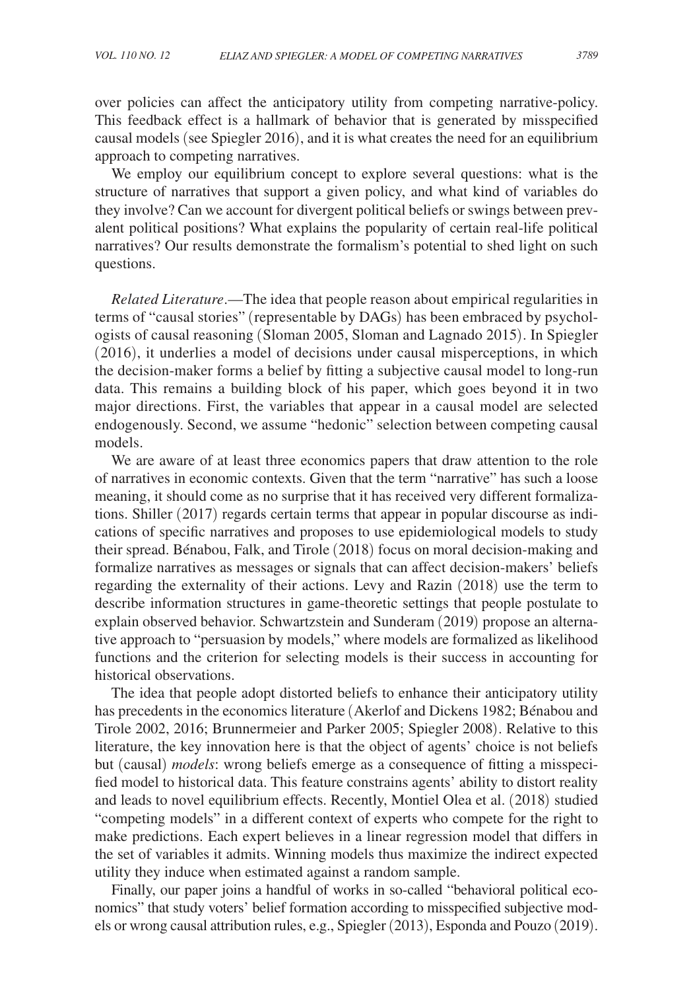over policies can affect the anticipatory utility from competing narrative-policy. This feedback effect is a hallmark of behavior that is generated by misspecified causal models (see Spiegler 2016), and it is what creates the need for an equilibrium approach to competing narratives.

We employ our equilibrium concept to explore several questions: what is the structure of narratives that support a given policy, and what kind of variables do they involve? Can we account for divergent political beliefs or swings between prevalent political positions? What explains the popularity of certain real-life political narratives? Our results demonstrate the formalism's potential to shed light on such questions.

*Related Literature*.—The idea that people reason about empirical regularities in terms of "causal stories" (representable by DAGs) has been embraced by psychologists of causal reasoning (Sloman 2005, Sloman and Lagnado 2015). In Spiegler (2016), it underlies a model of decisions under causal misperceptions, in which the decision-maker forms a belief by fitting a subjective causal model to long-run data. This remains a building block of his paper, which goes beyond it in two major directions. First, the variables that appear in a causal model are selected endogenously. Second, we assume "hedonic" selection between competing causal models.

We are aware of at least three economics papers that draw attention to the role of narratives in economic contexts. Given that the term "narrative" has such a loose meaning, it should come as no surprise that it has received very different formalizations. Shiller (2017) regards certain terms that appear in popular discourse as indications of specific narratives and proposes to use epidemiological models to study their spread. Bénabou, Falk, and Tirole (2018) focus on moral decision-making and formalize narratives as messages or signals that can affect decision-makers' beliefs regarding the externality of their actions. Levy and Razin (2018) use the term to describe information structures in game-theoretic settings that people postulate to explain observed behavior. Schwartzstein and Sunderam (2019) propose an alternative approach to "persuasion by models," where models are formalized as likelihood functions and the criterion for selecting models is their success in accounting for historical observations.

The idea that people adopt distorted beliefs to enhance their anticipatory utility has precedents in the economics literature (Akerlof and Dickens 1982; Bénabou and Tirole 2002, 2016; Brunnermeier and Parker 2005; Spiegler 2008). Relative to this literature, the key innovation here is that the object of agents' choice is not beliefs but (causal) *models*: wrong beliefs emerge as a consequence of fitting a misspecified model to historical data. This feature constrains agents' ability to distort reality and leads to novel equilibrium effects. Recently, Montiel Olea et al. (2018) studied "competing models" in a different context of experts who compete for the right to make predictions. Each expert believes in a linear regression model that differs in the set of variables it admits. Winning models thus maximize the indirect expected utility they induce when estimated against a random sample.

Finally, our paper joins a handful of works in so-called "behavioral political economics" that study voters' belief formation according to misspecified subjective models or wrong causal attribution rules, e.g., Spiegler (2013), Esponda and Pouzo (2019).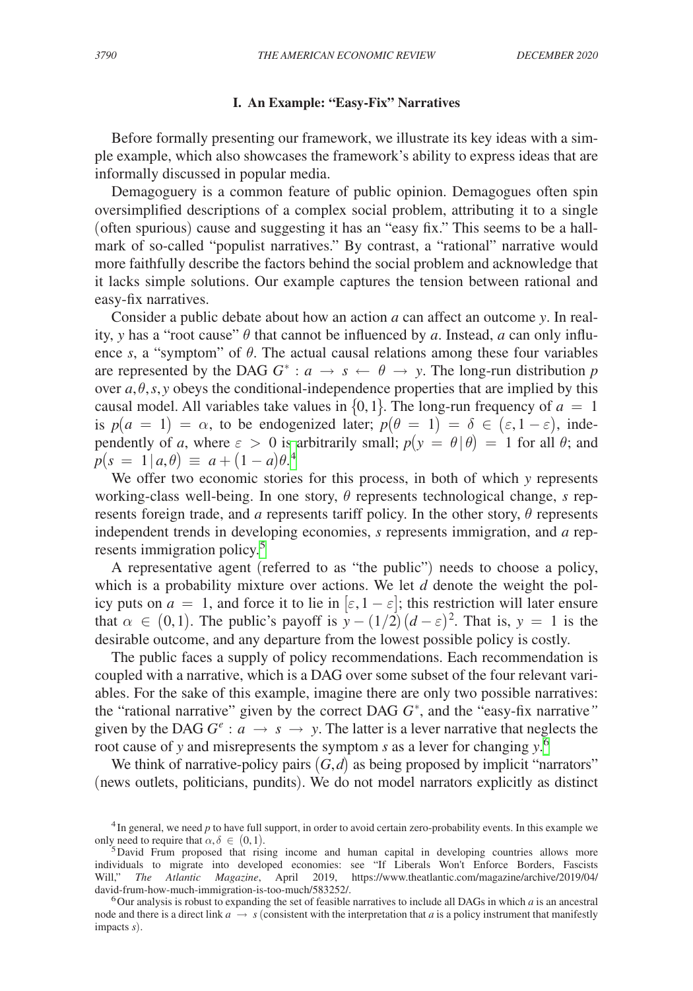### **I. An Example: "Easy-Fix" Narratives**

Before formally presenting our framework, we illustrate its key ideas with a simple example, which also showcases the framework's ability to express ideas that are informally discussed in popular media.

Demagoguery is a common feature of public opinion. Demagogues often spin oversimplified descriptions of a complex social problem, attributing it to a single (often spurious) cause and suggesting it has an "easy fix." This seems to be a hallmark of so-called "populist narratives." By contrast, a "rational" narrative would more faithfully describe the factors behind the social problem and acknowledge that it lacks simple solutions. Our example captures the tension between rational and easy-fix narratives.

Consider a public debate about how an action *a* can affect an outcome *y*. In reality, *y* has a "root cause"  $\theta$  that cannot be influenced by *a*. Instead, *a* can only influence *s*, a "symptom" of  $\theta$ . The actual causal relations among these four variables are represented by the DAG  $G^*$  :  $a \rightarrow s \leftarrow \theta \rightarrow y$ . The long-run distribution *p* over  $a, \theta, s, y$  obeys the conditional-independence properties that are implied by this causal model. All variables take values in  $\{0, 1\}$ . The long-run frequency of  $a = 1$ is  $p(a = 1) = \alpha$ , to be endogenized later;  $p(\theta = 1) = \delta \in (\varepsilon, 1 - \varepsilon)$ , independently of *a*, where  $\varepsilon > 0$  is arbitrarily small;  $p(y = \theta | \theta) = 1$  for all  $\theta$ ; and  $p(s = 1 | a, \theta) \equiv a + (1 - a)\theta^4$  $p(s = 1 | a, \theta) \equiv a + (1 - a)\theta^4$ 

We offer two economic stories for this process, in both of which *y* represents working-class well-being. In one story, θ represents technological change, *s* represents foreign trade, and *a* represents tariff policy. In the other story,  $\theta$  represents independent trends in developing economies, *s* represents immigration, and *a* rep-resents immigration policy.<sup>[5](#page-4-1)</sup>

A representative agent (referred to as "the public") needs to choose a policy, which is a probability mixture over actions. We let *d* denote the weight the policy puts on  $a = 1$ , and force it to lie in  $[\varepsilon, 1 - \varepsilon]$ ; this restriction will later ensure that  $\alpha \in (0,1)$ . The public's payoff is  $y - (1/2)(d - \varepsilon)^2$ . That is,  $y = 1$  is the desirable outcome, and any departure from the lowest possible policy is costly.

The public faces a supply of policy recommendations. Each recommendation is coupled with a narrative, which is a DAG over some subset of the four relevant variables. For the sake of this example, imagine there are only two possible narratives: the "rational narrative" given by the correct DAG *G*<sup>∗</sup> , and the "easy-fix narrative*"* given by the DAG  $G^e$  :  $a \rightarrow s \rightarrow y$ . The latter is a lever narrative that neglects the root cause of *y* and misrepresents the symptom *s* as a lever for changing *y*. [6](#page-4-2)

We think of narrative-policy pairs  $(G, d)$  as being proposed by implicit "narrators" (news outlets, politicians, pundits). We do not model narrators explicitly as distinct

<span id="page-4-0"></span><sup>&</sup>lt;sup>4</sup>In general, we need *p* to have full support, in order to avoid certain zero-probability events. In this example we only need to require that  $\alpha, \delta \in (0, 1)$ .

<span id="page-4-1"></span><sup>&</sup>lt;sup>5</sup>David Frum proposed that rising income and human capital in developing countries allows more individuals to migrate into developed economies: see "If Liberals Won't Enforce Borders, Fascists Will," *The Atlantic Magazine*, April 2019, [https://www.theatlantic.com/magazine/archive/2019/04/](https://www.theatlantic.com/magazine/archive/2019/04/david-frum-how-much-immigration-is-too-much/583252/)

<span id="page-4-2"></span> $\delta$ Our analysis is robust to expanding the set of feasible narratives to include all DAGs in which *a* is an ancestral node and there is a direct link  $a \rightarrow s$  (consistent with the interpretation that *a* is a policy instrument that manifestly impacts *s*).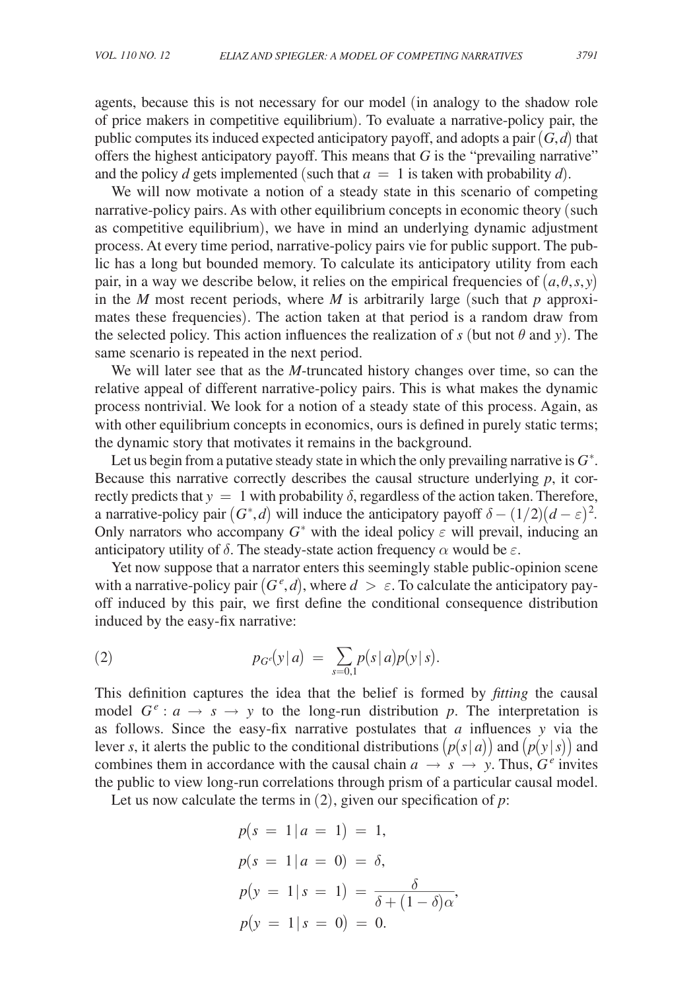agents, because this is not necessary for our model (in analogy to the shadow role of price makers in competitive equilibrium). To evaluate a narrative-policy pair, the public computes its induced expected anticipatory payoff, and adopts a pair  $(G,d)$  that offers the highest anticipatory payoff. This means that *G* is the "prevailing narrative" and the policy *d* gets implemented (such that  $a = 1$  is taken with probability *d*).

We will now motivate a notion of a steady state in this scenario of competing narrative-policy pairs. As with other equilibrium concepts in economic theory (such as competitive equilibrium), we have in mind an underlying dynamic adjustment process. At every time period, narrative-policy pairs vie for public support. The public has a long but bounded memory. To calculate its anticipatory utility from each pair, in a way we describe below, it relies on the empirical frequencies of  $(a, \theta, s, y)$ in the *M* most recent periods, where *M* is arbitrarily large (such that  $p$  approximates these frequencies). The action taken at that period is a random draw from the selected policy. This action influences the realization of  $s$  (but not  $\theta$  and  $y$ ). The same scenario is repeated in the next period.

We will later see that as the *M*-truncated history changes over time, so can the relative appeal of different narrative-policy pairs. This is what makes the dynamic process nontrivial. We look for a notion of a steady state of this process. Again, as with other equilibrium concepts in economics, ours is defined in purely static terms; the dynamic story that motivates it remains in the background.

Let us begin from a putative steady state in which the only prevailing narrative is  $G^*$ . Because this narrative correctly describes the causal structure underlying *p*, it correctly predicts that  $y = 1$  with probability  $\delta$ , regardless of the action taken. Therefore, a narrative-policy pair  $(G^*, d)$  will induce the anticipatory payoff  $\delta - (1/2)(d - \varepsilon)^2$ . Only narrators who accompany  $G^*$  with the ideal policy  $\varepsilon$  will prevail, inducing an anticipatory utility of  $\delta$ . The steady-state action frequency  $\alpha$  would be  $\varepsilon$ .

Yet now suppose that a narrator enters this seemingly stable public-opinion scene with a narrative-policy pair  $(G^e, d)$ , where  $d > \varepsilon$ . To calculate the anticipatory payoff induced by this pair, we first define the conditional consequence distribution induced by the easy-fix narrative:

(2) 
$$
p_{G}(\mathbf{y}|a) = \sum_{s=0,1} p(s|a)p(\mathbf{y}|s).
$$

This definition captures the idea that the belief is formed by *fitting* the causal model  $G^e$  :  $a \rightarrow s \rightarrow y$  to the long-run distribution p. The interpretation is as follows. Since the easy-fix narrative postulates that *a* influences *y* via the lever *s*, it alerts the public to the conditional distributions  $(p(s|a))$  and  $(p(y|s))$  and combines them in accordance with the causal chain  $a \rightarrow s \rightarrow y$ . Thus,  $G^e$  invites the public to view long-run correlations through prism of a particular causal model.

Let us now calculate the terms in  $(2)$ , given our specification of  $p$ :

$$
p(s = 1 | a = 1) = 1,
$$
  
\n
$$
p(s = 1 | a = 0) = \delta,
$$
  
\n
$$
p(y = 1 | s = 1) = \frac{\delta}{\delta + (1 - \delta)\alpha},
$$
  
\n
$$
p(y = 1 | s = 0) = 0.
$$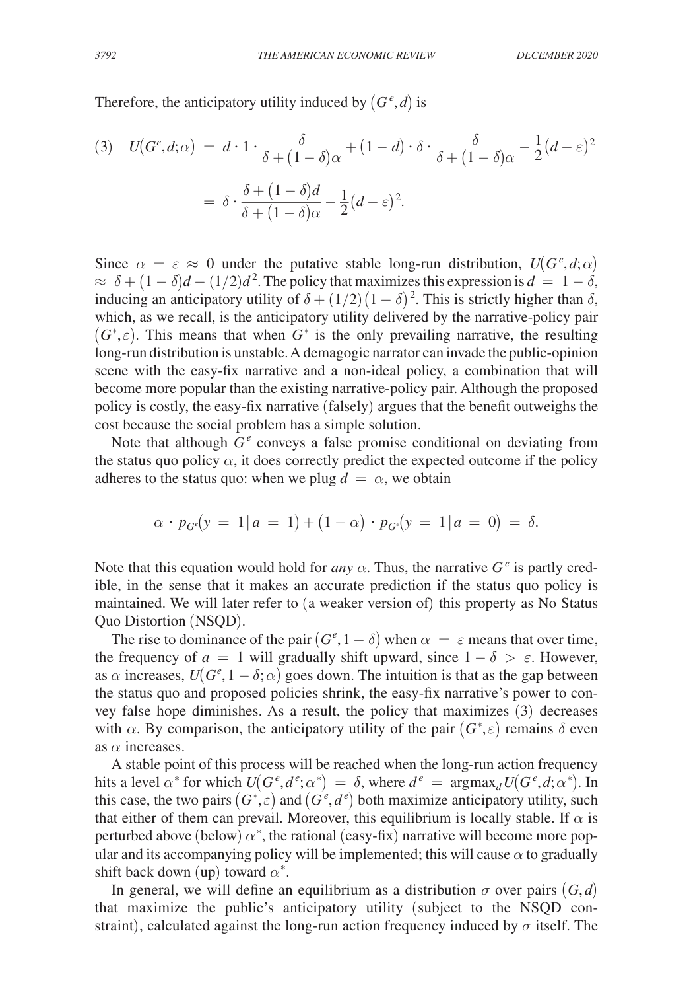Therefore, the anticipatory utility induced by  $(G^e, d)$  is

Therefore, the anticipatory utility induced by 
$$
(G^e, d)
$$
 is  
\n(3)  $U(G^e, d; \alpha) = d \cdot 1 \cdot \frac{\delta}{\delta + (1 - \delta)\alpha} + (1 - d) \cdot \delta \cdot \frac{\delta}{\delta + (1 - \delta)\alpha} - \frac{1}{2}(d - \varepsilon)^2$   
\n $= \delta \cdot \frac{\delta + (1 - \delta)d}{\delta + (1 - \delta)\alpha} - \frac{1}{2}(d - \varepsilon)^2$ .

Since  $\alpha = \varepsilon \approx 0$  under the putative stable long-run distribution,  $U(G^e, d; \alpha)$  $\approx \delta + (1 - \delta)d - (1/2)d^2$ . The policy that maximizes this expression is  $d = 1 - \delta$ , inducing an anticipatory utility of  $\delta + (1/2)(1 - \delta)^2$ . This is strictly higher than  $\delta$ , which, as we recall, is the anticipatory utility delivered by the narrative-policy pair  $(G^*, \varepsilon)$ . This means that when  $G^*$  is the only prevailing narrative, the resulting long-run distribution is unstable. A demagogic narrator can invade the public-opinion scene with the easy-fix narrative and a non-ideal policy, a combination that will become more popular than the existing narrative-policy pair. Although the proposed policy is costly, the easy-fix narrative (falsely) argues that the benefit outweighs the cost because the social problem has a simple solution.

Note that although  $G^e$  conveys a false promise conditional on deviating from the status quo policy  $\alpha$ , it does correctly predict the expected outcome if the policy adheres to the status quo: when we plug  $d = \alpha$ , we obtain

$$
\alpha \cdot p_{G^e}(y = 1 | a = 1) + (1 - \alpha) \cdot p_{G^e}(y = 1 | a = 0) = \delta.
$$

Note that this equation would hold for *any*  $\alpha$ . Thus, the narrative  $G^e$  is partly credible, in the sense that it makes an accurate prediction if the status quo policy is maintained. We will later refer to (a weaker version of) this property as No Status Quo Distortion (NSQD).

The rise to dominance of the pair  $(G^e, 1 - \delta)$  when  $\alpha = \varepsilon$  means that over time, the frequency of  $a = 1$  will gradually shift upward, since  $1 - \delta > \varepsilon$ . However, as  $\alpha$  increases,  $U(G^e, 1 - \delta; \alpha)$  goes down. The intuition is that as the gap between the status quo and proposed policies shrink, the easy-fix narrative's power to convey false hope diminishes. As a result, the policy that maximizes (3) decreases with  $\alpha$ . By comparison, the anticipatory utility of the pair  $(G^*, \varepsilon)$  remains  $\delta$  even as  $\alpha$  increases.

A stable point of this process will be reached when the long-run action frequency hits a level  $\alpha^*$  for which  $U(G^e, d^e; \alpha^*) = \delta$ , where  $d^e = \text{argmax}_d U(G^e, d; \alpha^*)$ . In this case, the two pairs  $(G^*, \varepsilon)$  and  $(G^e, d^e)$  both maximize anticipatory utility, such that either of them can prevail. Moreover, this equilibrium is locally stable. If  $\alpha$  is perturbed above (below)  $\alpha^*$ , the rational (easy-fix) narrative will become more popular and its accompanying policy will be implemented; this will cause  $\alpha$  to gradually shift back down (up) toward  $\alpha^*$ .

In general, we will define an equilibrium as a distribution  $\sigma$  over pairs  $(G, d)$ that maximize the public's anticipatory utility (subject to the NSQD constraint), calculated against the long-run action frequency induced by  $\sigma$  itself. The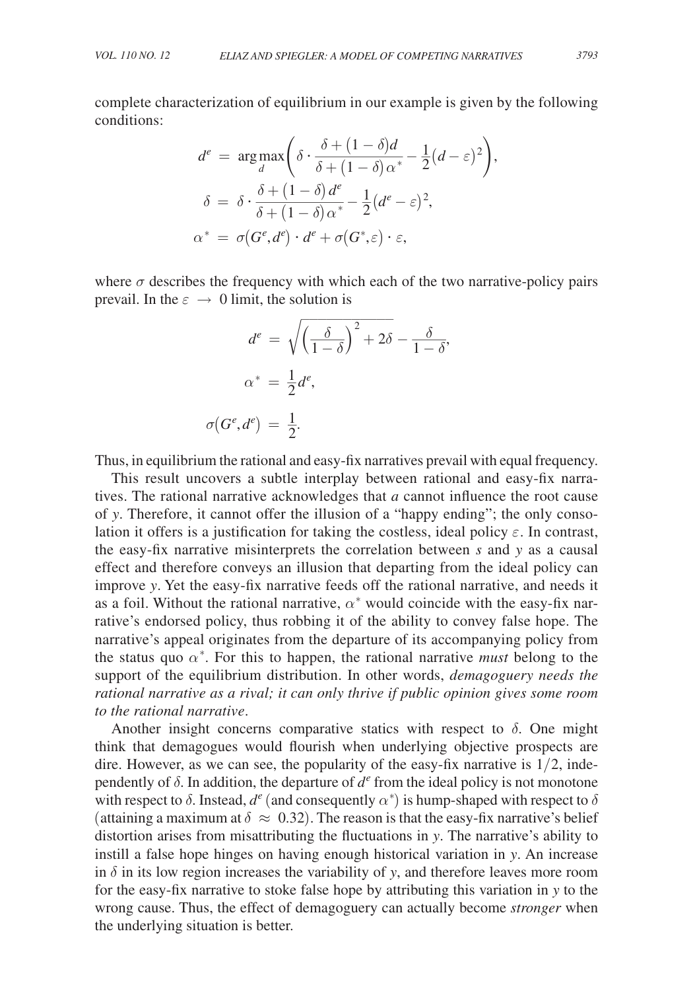complete characterization of equilibrium in our example is given by the following conditions:

complete characterization of equilibrium in our example is given  
conditions:  
\n
$$
d^{e} = \arg \max_{d} \left( \delta \cdot \frac{\delta + (1 - \delta)d}{\delta + (1 - \delta)\alpha^{*}} - \frac{1}{2}(d - \varepsilon)^{2} \right),
$$
\n
$$
\delta = \delta \cdot \frac{\delta + (1 - \delta)d^{e}}{\delta + (1 - \delta)\alpha^{*}} - \frac{1}{2}(d^{e} - \varepsilon)^{2},
$$
\n
$$
\alpha^{*} = \sigma(G^{e}, d^{e}) \cdot d^{e} + \sigma(G^{*}, \varepsilon) \cdot \varepsilon,
$$

where  $\sigma$  describes the frequency with which each of the two narrative-policy pairs prevail. In the  $\varepsilon \to 0$  limit, the solution is

$$
d^{e} = \sqrt{\left(\frac{\delta}{1-\delta}\right)^{2} + 2\delta} - \frac{\delta}{1-\delta},
$$

$$
\alpha^{*} = \frac{1}{2}d^{e},
$$

$$
\sigma(G^{e}, d^{e}) = \frac{1}{2}.
$$

Thus, in equilibrium the rational and easy-fix narratives prevail with equal frequency.

This result uncovers a subtle interplay between rational and easy-fix narratives. The rational narrative acknowledges that *a* cannot influence the root cause of *y*. Therefore, it cannot offer the illusion of a "happy ending"; the only consolation it offers is a justification for taking the costless, ideal policy  $\varepsilon$ . In contrast, the easy-fix narrative misinterprets the correlation between *s* and *y* as a causal effect and therefore conveys an illusion that departing from the ideal policy can improve *y*. Yet the easy-fix narrative feeds off the rational narrative, and needs it as a foil. Without the rational narrative,  $\alpha^*$  would coincide with the easy-fix narrative's endorsed policy, thus robbing it of the ability to convey false hope. The narrative's appeal originates from the departure of its accompanying policy from the status quo  $\alpha^*$ . For this to happen, the rational narrative *must* belong to the support of the equilibrium distribution. In other words, *demagoguery needs the rational narrative as a rival; it can only thrive if public opinion gives some room to the rational narrative*.

Another insight concerns comparative statics with respect to  $\delta$ . One might think that demagogues would flourish when underlying objective prospects are dire. However, as we can see, the popularity of the easy-fix narrative is  $1/2$ , independently of  $\delta$ . In addition, the departure of  $d^e$  from the ideal policy is not monotone with respect to  $\delta$ . Instead,  $d^e$  (and consequently  $\alpha^*$ ) is hump-shaped with respect to  $\delta$ (attaining a maximum at  $\delta \approx 0.32$ ). The reason is that the easy-fix narrative's belief distortion arises from misattributing the fluctuations in *y*. The narrative's ability to instill a false hope hinges on having enough historical variation in *y*. An increase in  $\delta$  in its low region increases the variability of *y*, and therefore leaves more room for the easy-fix narrative to stoke false hope by attributing this variation in *y* to the wrong cause. Thus, the effect of demagoguery can actually become *stronger* when the underlying situation is better.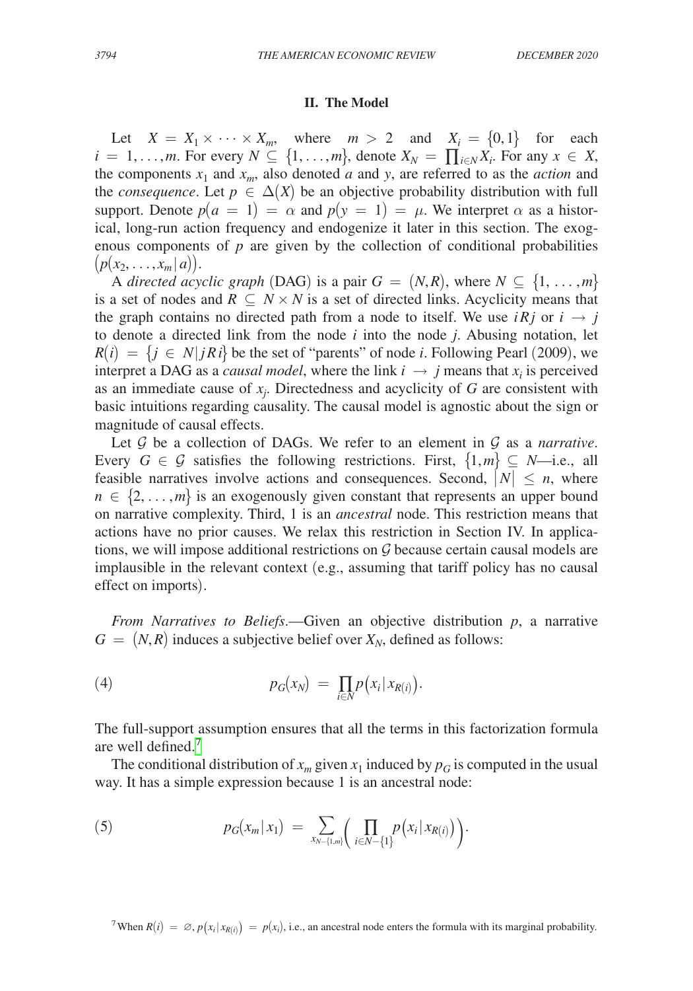#### **II. The Model**

Let  $X = X_1 \times \cdots \times X_m$ , where  $m > 2$  and  $X_i = \{0, 1\}$  for each  $i = 1, \ldots, m$ . For every  $N \subseteq \{1, \ldots, m\}$ , denote  $X_N = \prod_{i \in N} X_i$ . For any  $x \in X$ , the components  $x_1$  and  $x_m$ , also denoted *a* and *y*, are referred to as the *action* and the *consequence*. Let  $p \in \Delta(X)$  be an objective probability distribution with full support. Denote  $p(a = 1) = \alpha$  and  $p(y = 1) = \mu$ . We interpret  $\alpha$  as a historical, long-run action frequency and endogenize it later in this section. The exogenous components of  $p$  are given by the collection of conditional probabilities  $(p(x_2, \ldots, x_m | a)).$ 

A *directed acyclic graph* (DAG) is a pair  $G = (N, R)$ , where  $N \subseteq \{1, \ldots, m\}$ is a set of nodes and  $R \subseteq N \times N$  is a set of directed links. Acyclicity means that the graph contains no directed path from a node to itself. We use  $i \overrightarrow{R} j$  or  $i \rightarrow j$ to denote a directed link from the node *i* into the node *j*. Abusing notation, let  $R(i) = \{j \in N | jRi\}$  be the set of "parents" of node *i*. Following Pearl (2009), we interpret a DAG as a *causal model*, where the link  $i \rightarrow j$  means that  $x_i$  is perceived as an immediate cause of  $x_j$ . Directedness and acyclicity of  $G$  are consistent with basic intuitions regarding causality. The causal model is agnostic about the sign or magnitude of causal effects.

Let  $\mathcal G$  be a collection of DAGs. We refer to an element in  $\mathcal G$  as a *narrative*. Every  $G \in \mathcal{G}$  satisfies the following restrictions. First,  $\{1,m\} \subseteq N$ —i.e., all feasible narratives involve actions and consequences. Second,  $|N| \le n$ , where  $n \in \{2, \ldots, m\}$  is an exogenously given constant that represents an upper bound on narrative complexity. Third, 1 is an *ancestral* node. This restriction means that actions have no prior causes. We relax this restriction in Section IV. In applications, we will impose additional restrictions on  $G$  because certain causal models are implausible in the relevant context (e.g., assuming that tariff policy has no causal effect on imports).

*From Narratives to Beliefs*.—Given an objective distribution *p*, a narrative  $G = (N, R)$  induces a subjective belief over  $X_N$ , defined as follows:

$$
(4) \t\t\t p_G(x_N) = \prod_{i\in N} p\big(x_i | x_{R(i)}\big).
$$

The full-support assumption ensures that all the terms in this factorization formula are well defined.[7](#page-8-0)

The conditional distribution of  $x_m$  given  $x_1$  induced by  $p_G$  is computed in the usual way. It has a simple expression because 1 is an ancestral node:

(5) 
$$
p_G(x_m|x_1) = \sum_{x_{N-\{1,m\}}} \left( \prod_{i \in N-\{1\}} p(x_i|x_{R(i)}) \right).
$$

<span id="page-8-0"></span><sup>7</sup>When  $R(i) = \emptyset$ ,  $p(x_i | x_{R(i)}) = p(x_i)$ , i.e., an ancestral node enters the formula with its marginal probability.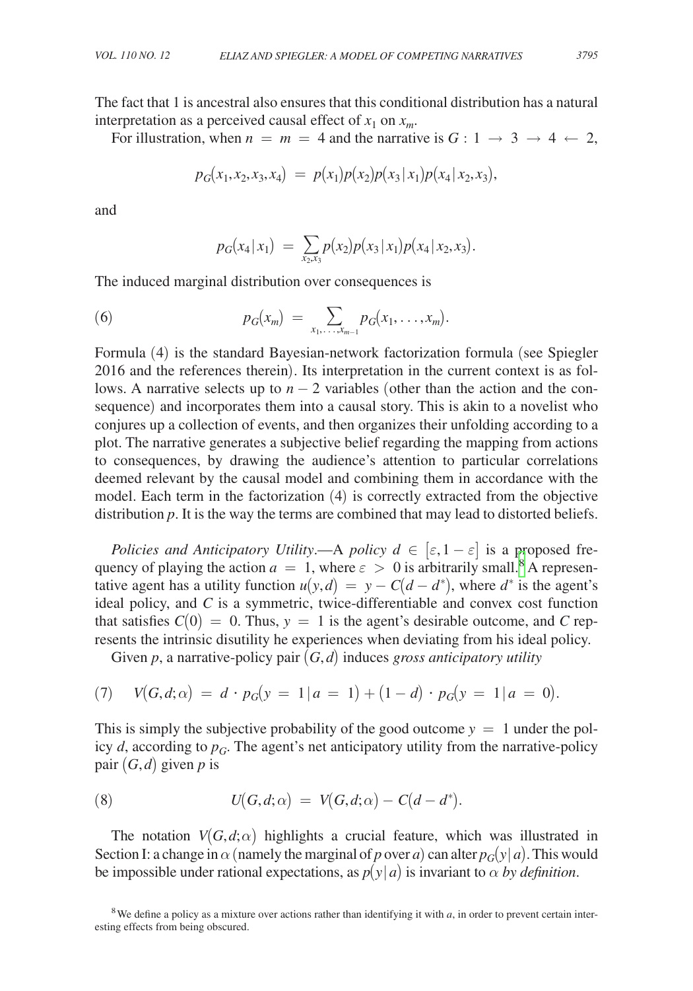The fact that 1 is ancestral also ensures that this conditional distribution has a natural interpretation as a perceived causal effect of  $x_1$  on  $x_m$ .

For illustration, when  $n = m = 4$  and the narrative is  $G: 1 \rightarrow 3 \rightarrow 4 \leftarrow 2$ ,

$$
p_G(x_1, x_2, x_3, x_4) = p(x_1)p(x_2)p(x_3|x_1)p(x_4|x_2, x_3),
$$

and

$$
p_G(x_4 | x_1) = \sum_{x_2, x_3} p(x_2) p(x_3 | x_1) p(x_4 | x_2, x_3).
$$

The induced marginal distribution over consequences is

(6) 
$$
p_G(x_m) = \sum_{x_1, ..., x_{m-1}} p_G(x_1, ..., x_m).
$$

Formula (4) is the standard Bayesian-network factorization formula (see Spiegler 2016 and the references therein). Its interpretation in the current context is as follows. A narrative selects up to  $n-2$  variables (other than the action and the consequence) and incorporates them into a causal story. This is akin to a novelist who conjures up a collection of events, and then organizes their unfolding according to a plot. The narrative generates a subjective belief regarding the mapping from actions to consequences, by drawing the audience's attention to particular correlations deemed relevant by the causal model and combining them in accordance with the model. Each term in the factorization (4) is correctly extracted from the objective distribution *p*. It is the way the terms are combined that may lead to distorted beliefs.

*Policies and Anticipatory Utility.*—A *policy*  $d \in [\varepsilon, 1-\varepsilon]$  is a proposed frequency of playing the action  $a = 1$ , where  $\varepsilon > 0$  is arbitrarily small.<sup>8</sup> A representative agent has a utility function  $u(y, d) = y - C(d - d^*)$ , where  $d^*$  is the agent's ideal policy, and *C* is a symmetric, twice-differentiable and convex cost function that satisfies  $C(0) = 0$ . Thus,  $y = 1$  is the agent's desirable outcome, and C represents the intrinsic disutility he experiences when deviating from his ideal policy.

Given *p*, a narrative-policy pair (*G*,*d*) induces *gross anticipatory utility*

(7) 
$$
V(G, d; \alpha) = d \cdot p_G(y = 1 | a = 1) + (1 - d) \cdot p_G(y = 1 | a = 0).
$$

This is simply the subjective probability of the good outcome  $y = 1$  under the policy  $d$ , according to  $p_G$ . The agent's net anticipatory utility from the narrative-policy pair  $(G,d)$  given *p* is

(8) 
$$
U(G,d;\alpha) = V(G,d;\alpha) - C(d-d^*).
$$

The notation  $V(G, d; \alpha)$  highlights a crucial feature, which was illustrated in Section I: a change in  $\alpha$  (namely the marginal of *p* over *a*) can alter  $p_G(y|a)$ . This would be impossible under rational expectations, as  $p(y|a)$  is invariant to  $\alpha$  *by definition*.

<span id="page-9-0"></span><sup>&</sup>lt;sup>8</sup>We define a policy as a mixture over actions rather than identifying it with  $a$ , in order to prevent certain interesting effects from being obscured.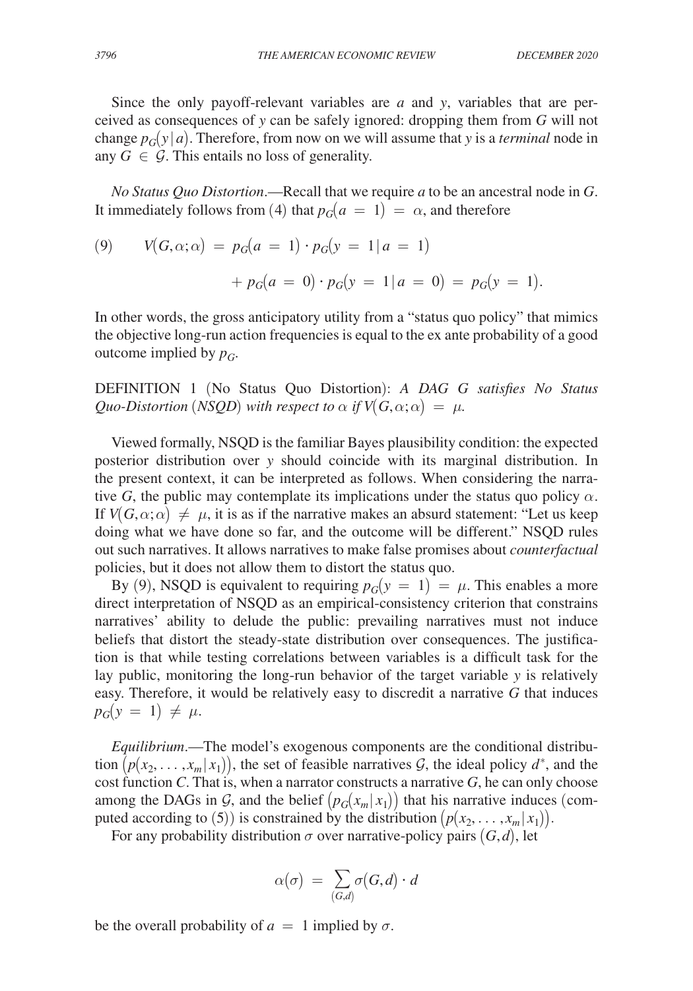Since the only payoff-relevant variables are *a* and *y*, variables that are perceived as consequences of *y* can be safely ignored: dropping them from *G* will not change  $p_G(y|a)$ . Therefore, from now on we will assume that *y* is a *terminal* node in any  $G \in \mathcal{G}$ . This entails no loss of generality.

*No Status Quo Distortion*.—Recall that we require *a* to be an ancestral node in *G*. It immediately follows from (4) that  $p_G(a = 1) = \alpha$ , and therefore

(9) 
$$
V(G, \alpha; \alpha) = p_G(a = 1) \cdot p_G(y = 1 | a = 1)
$$

$$
+ p_G(a = 0) \cdot p_G(y = 1 | a = 0) = p_G(y = 1).
$$

In other words, the gross anticipatory utility from a "status quo policy" that mimics the objective long-run action frequencies is equal to the ex ante probability of a good outcome implied by  $p_G$ .

DEFINITION 1 (No Status Quo Distortion): *A DAG G satisfies No Status Quo-Distortion* (*NSQD*) with respect to  $\alpha$  if  $V(G, \alpha; \alpha) = \mu$ .

Viewed formally, NSQD is the familiar Bayes plausibility condition: the expected posterior distribution over *y* should coincide with its marginal distribution. In the present context, it can be interpreted as follows. When considering the narrative *G*, the public may contemplate its implications under the status quo policy  $\alpha$ . If  $V(G, \alpha; \alpha) \neq \mu$ , it is as if the narrative makes an absurd statement: "Let us keep doing what we have done so far, and the outcome will be different." NSQD rules out such narratives. It allows narratives to make false promises about *counterfactual* policies, but it does not allow them to distort the status quo.

By (9), NSQD is equivalent to requiring  $p_G(y = 1) = \mu$ . This enables a more direct interpretation of NSQD as an empirical-consistency criterion that constrains narratives' ability to delude the public: prevailing narratives must not induce beliefs that distort the steady-state distribution over consequences. The justification is that while testing correlations between variables is a difficult task for the lay public, monitoring the long-run behavior of the target variable *y* is relatively easy. Therefore, it would be relatively easy to discredit a narrative *G* that induces  $p_G(y = 1) \neq \mu$ .

*Equilibrium*.—The model's exogenous components are the conditional distribution  $(p(x_2, \ldots, x_m | x_1))$ , the set of feasible narratives  $G$ , the ideal policy  $d^*$ , and the cost function *C*. That is, when a narrator constructs a narrative *G*, he can only choose among the DAGs in  $\mathcal{G}$ , and the belief  $(p_G(x_m | x_1))$  that his narrative induces (computed according to (5)) is constrained by the distribution  $(p(x_2, \ldots, x_m | x_1))$ .

For any probability distribution  $\sigma$  over narrative-policy pairs  $(G, d)$ , let

$$
\alpha(\sigma) \ = \ \sum_{(G,d)} \sigma(G,d) \cdot d
$$

be the overall probability of  $a = 1$  implied by  $\sigma$ .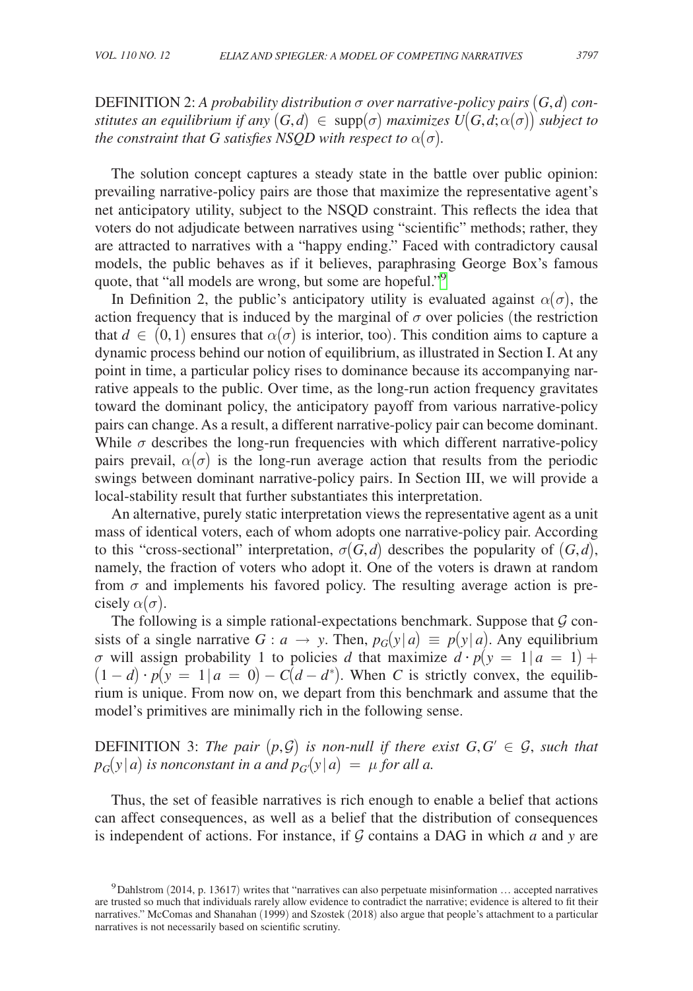**DEFINITION** 2: A probability distribution σ over narrative-policy pairs  $(G, d)$  con*stitutes an equilibrium if any*  $(G,d) \in \text{supp}(\sigma)$  *maximizes*  $U(G,d;\alpha(\sigma))$  *subject to the constraint that G satisfies NSQD with respect to*  $\alpha(\sigma)$ *.* 

The solution concept captures a steady state in the battle over public opinion: prevailing narrative-policy pairs are those that maximize the representative agent's net anticipatory utility, subject to the NSQD constraint. This reflects the idea that voters do not adjudicate between narratives using "scientific" methods; rather, they are attracted to narratives with a "happy ending." Faced with contradictory causal models, the public behaves as if it believes, paraphrasing George Box's famous quote, that "all models are wrong, but some are hopeful."<sup>[9](#page-11-0)</sup>

In Definition 2, the public's anticipatory utility is evaluated against  $\alpha(\sigma)$ , the action frequency that is induced by the marginal of  $\sigma$  over policies (the restriction that  $d \in (0,1)$  ensures that  $\alpha(\sigma)$  is interior, too). This condition aims to capture a dynamic process behind our notion of equilibrium, as illustrated in Section I. At any point in time, a particular policy rises to dominance because its accompanying narrative appeals to the public. Over time, as the long-run action frequency gravitates toward the dominant policy, the anticipatory payoff from various narrative-policy pairs can change. As a result, a different narrative-policy pair can become dominant. While  $\sigma$  describes the long-run frequencies with which different narrative-policy pairs prevail,  $\alpha(\sigma)$  is the long-run average action that results from the periodic swings between dominant narrative-policy pairs. In Section III, we will provide a local-stability result that further substantiates this interpretation.

An alternative, purely static interpretation views the representative agent as a unit mass of identical voters, each of whom adopts one narrative-policy pair. According to this "cross-sectional" interpretation,  $\sigma(G, d)$  describes the popularity of  $(G, d)$ , namely, the fraction of voters who adopt it. One of the voters is drawn at random from  $\sigma$  and implements his favored policy. The resulting average action is precisely  $\alpha(\sigma)$ .

The following is a simple rational-expectations benchmark. Suppose that  $\mathcal G$  consists of a single narrative *G* : *a*  $\rightarrow$  *y*. Then,  $p_G(y|a) \equiv p(y|a)$ . Any equilibrium σ will assign probability 1 to policies *d* that maximize *d* · *p*(*y* = 1∣ *a* = 1) +  $(1-d) \cdot p(y = 1 | a = 0) - C(d - d^*)$ . When *C* is strictly convex, the equilibrium is unique. From now on, we depart from this benchmark and assume that the model's primitives are minimally rich in the following sense.

**DEFINITION** 3: The pair  $(p, \mathcal{G})$  is non-null if there exist  $G, G' \in \mathcal{G}$ , such that  $p_G(y|a)$  *is nonconstant in a and*  $p_G(y|a) = \mu$  *for all a.* 

Thus, the set of feasible narratives is rich enough to enable a belief that actions can affect consequences, as well as a belief that the distribution of consequences is independent of actions. For instance, if  $G$  contains a DAG in which  $a$  and  $y$  are

<span id="page-11-0"></span><sup>9</sup>Dahlstrom (2014, p. 13617) writes that "narratives can also perpetuate misinformation … accepted narratives are trusted so much that individuals rarely allow evidence to contradict the narrative; evidence is altered to fit their narratives." McComas and Shanahan (1999) and Szostek (2018) also argue that people's attachment to a particular narratives is not necessarily based on scientific scrutiny.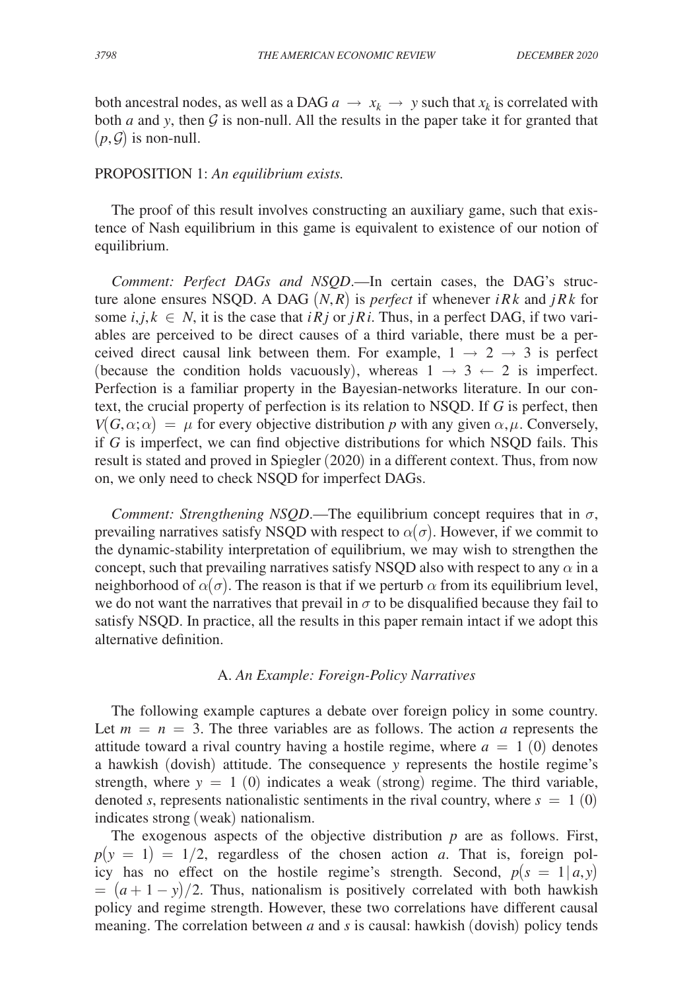both ancestral nodes, as well as a DAG  $a \rightarrow x_k \rightarrow y$  such that  $x_k$  is correlated with both *a* and *y*, then  $G$  is non-null. All the results in the paper take it for granted that  $(p, \mathcal{G})$  is non-null.

### PROPOSITION 1: *An equilibrium exists.*

The proof of this result involves constructing an auxiliary game, such that existence of Nash equilibrium in this game is equivalent to existence of our notion of equilibrium.

*Comment: Perfect DAGs and NSQD*.—In certain cases, the DAG's structure alone ensures NSQD. A DAG  $(N, R)$  is *perfect* if whenever *iRk* and *jRk* for some  $i, j, k \in N$ , it is the case that  $iRj$  or  $jRi$ . Thus, in a perfect DAG, if two variables are perceived to be direct causes of a third variable, there must be a perceived direct causal link between them. For example,  $1 \rightarrow 2 \rightarrow 3$  is perfect (because the condition holds vacuously), whereas  $1 \rightarrow 3 \leftarrow 2$  is imperfect. Perfection is a familiar property in the Bayesian-networks literature. In our context, the crucial property of perfection is its relation to NSQD. If *G* is perfect, then  $V(G, \alpha; \alpha) = \mu$  for every objective distribution *p* with any given  $\alpha, \mu$ . Conversely, if *G* is imperfect, we can find objective distributions for which NSQD fails. This result is stated and proved in Spiegler (2020) in a different context. Thus, from now on, we only need to check NSQD for imperfect DAGs.

*Comment: Strengthening NSQD*.—The equilibrium concept requires that in  $\sigma$ , prevailing narratives satisfy NSQD with respect to  $\alpha(\sigma)$ . However, if we commit to the dynamic-stability interpretation of equilibrium, we may wish to strengthen the concept, such that prevailing narratives satisfy NSQD also with respect to any  $\alpha$  in a neighborhood of  $\alpha(\sigma)$ . The reason is that if we perturb  $\alpha$  from its equilibrium level, we do not want the narratives that prevail in  $\sigma$  to be disqualified because they fail to satisfy NSQD. In practice, all the results in this paper remain intact if we adopt this alternative definition.

## A. *An Example: Foreign-Policy Narratives*

The following example captures a debate over foreign policy in some country. Let  $m = n = 3$ . The three variables are as follows. The action *a* represents the attitude toward a rival country having a hostile regime, where  $a = 1$  (0) denotes a hawkish (dovish) attitude. The consequence *y* represents the hostile regime's strength, where  $y = 1$  (0) indicates a weak (strong) regime. The third variable, denoted *s*, represents nationalistic sentiments in the rival country, where  $s = 1$  (0) indicates strong (weak) nationalism.

The exogenous aspects of the objective distribution *p* are as follows. First,  $p(y = 1) = 1/2$ , regardless of the chosen action *a*. That is, foreign policy has no effect on the hostile regime's strength. Second,  $p(s = 1 | a, y)$  $= (a+1-y)/2$ . Thus, nationalism is positively correlated with both hawkish policy and regime strength. However, these two correlations have different causal meaning. The correlation between *a* and *s* is causal: hawkish (dovish) policy tends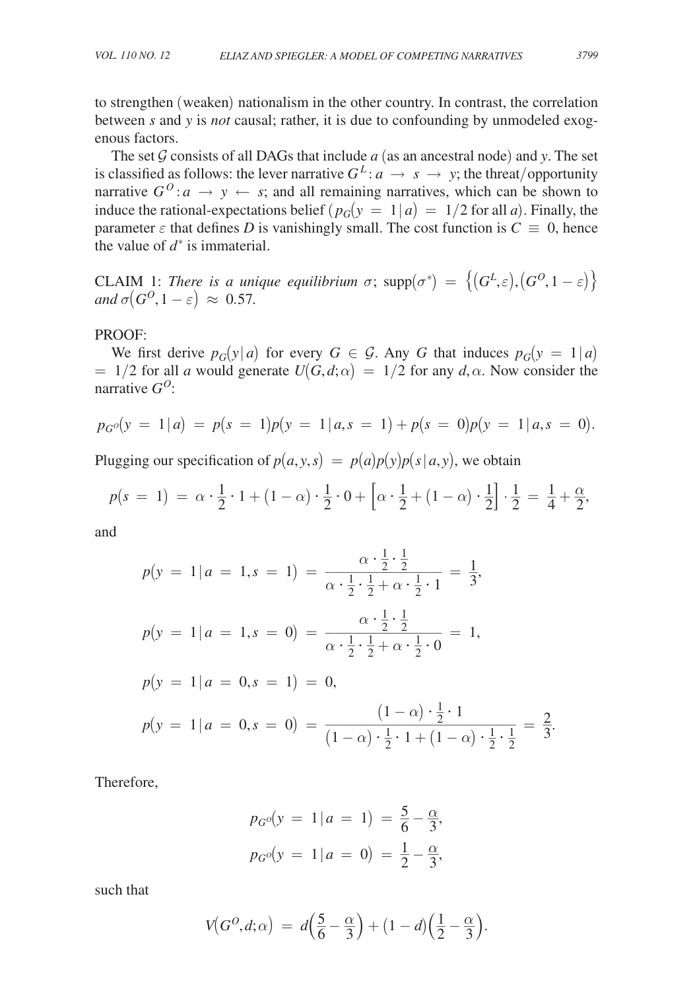to strengthen (weaken) nationalism in the other country. In contrast, the correlation between *s* and *y* is *not* causal; rather, it is due to confounding by unmodeled exogenous factors.

The set  $G$  consists of all DAGs that include  $a$  (as an ancestral node) and  $y$ . The set is classified as follows: the lever narrative  $G^L: a \to s \to y$ ; the threat/opportunity narrative  $G^0$ :  $a \rightarrow y \leftarrow s$ ; and all remaining narratives, which can be shown to induce the rational-expectations belief  $(p_G(y = 1 | a) = 1/2$  for all *a*). Finally, the parameter  $\varepsilon$  that defines *D* is vanishingly small. The cost function is  $C \equiv 0$ , hence the value of  $d^*$  is immaterial.

CLAIM 1: *There is a unique equilibrium*  $\sigma$ ;  $\text{supp}(\sigma^*) = \{ (G^L, \varepsilon), (G^O, 1 - \varepsilon) \}$ *and*  $\sigma(G^O, 1-\varepsilon) \approx 0.57$ .

PROOF:

We first derive  $p_G(y|a)$  for every  $G \in \mathcal{G}$ . Any *G* that induces  $p_G(y = 1|a)$  $= 1/2$  for all *a* would generate  $U(G, d; \alpha) = 1/2$  for any  $d, \alpha$ . Now consider the narrative *GO*:

$$
p_G o(y = 1 | a) = p(s = 1)p(y = 1 | a, s = 1) + p(s = 0)p(y = 1 | a, s = 0).
$$

Plugging our specification of  $p(a, y, s) = p(a)p(y)p(s|a, y)$ , we obtain

$$
p(s = 1) = \alpha \cdot \frac{1}{2} \cdot 1 + (1 - \alpha) \cdot \frac{1}{2} \cdot 0 + \left[ \alpha \cdot \frac{1}{2} + (1 - \alpha) \cdot \frac{1}{2} \right] \cdot \frac{1}{2} = \frac{1}{4} + \frac{\alpha}{2},
$$

and

$$
p(y = 1 | a = 1, s = 1) = \frac{\alpha \cdot \frac{1}{2} \cdot \frac{1}{2}}{\alpha \cdot \frac{1}{2} \cdot \frac{1}{2} + \alpha \cdot \frac{1}{2} \cdot 1} = \frac{1}{3},
$$
  
\n
$$
p(y = 1 | a = 1, s = 0) = \frac{\alpha \cdot \frac{1}{2} \cdot \frac{1}{2}}{\alpha \cdot \frac{1}{2} \cdot \frac{1}{2} + \alpha \cdot \frac{1}{2} \cdot 0} = 1,
$$
  
\n
$$
p(y = 1 | a = 0, s = 1) = 0,
$$
  
\n
$$
p(y = 1 | a = 0, s = 0) = \frac{(1 - \alpha) \cdot \frac{1}{2} \cdot 1}{(1 - \alpha) \cdot \frac{1}{2} \cdot 1 + (1 - \alpha) \cdot \frac{1}{2} \cdot \frac{1}{2}} = \frac{2}{3}
$$

Therefore,

$$
p_{G}o(y = 1 | a = 1) = \frac{5}{6} - \frac{\alpha}{3},
$$
  

$$
p_{G}o(y = 1 | a = 0) = \frac{1}{2} - \frac{\alpha}{3},
$$

such that

$$
V(G^O, d; \alpha) = d\left(\frac{5}{6} - \frac{\alpha}{3}\right) + (1 - d)\left(\frac{1}{2} - \frac{\alpha}{3}\right).
$$

.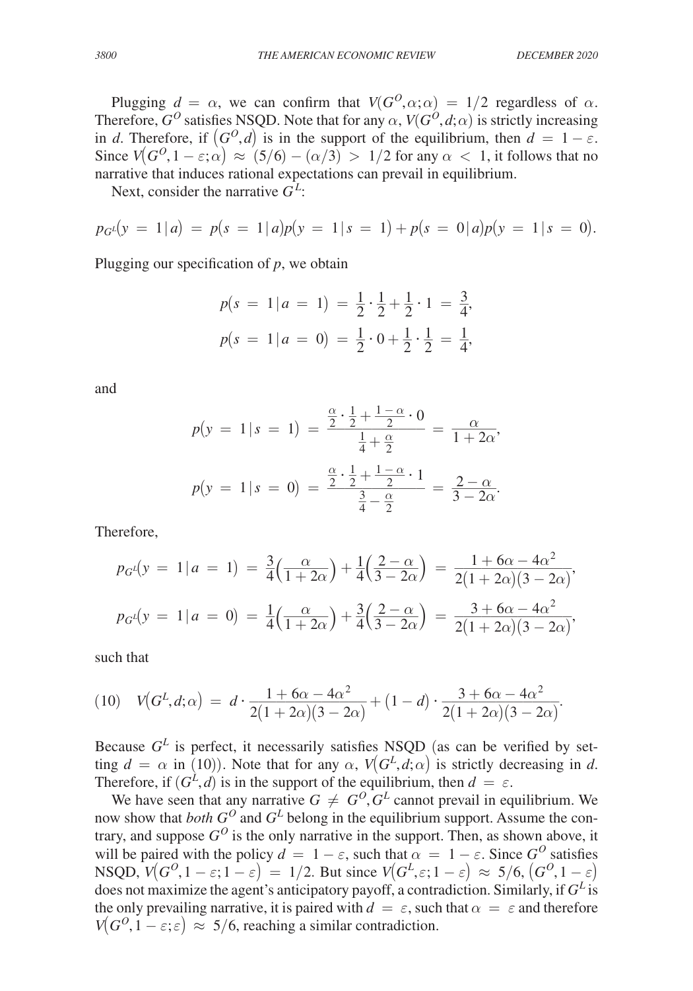Plugging  $d = \alpha$ , we can confirm that  $V(G^O, \alpha; \alpha) = 1/2$  regardless of  $\alpha$ . Therefore,  $G^O$  satisfies NSQD. Note that for any  $\alpha$ ,  $V(G^O, d; \alpha)$  is strictly increasing in *d*. Therefore, if  $(G^O, d)$  is in the support of the equilibrium, then  $d = 1 - \varepsilon$ . Since  $V(G^0, 1 - \varepsilon; \alpha) \approx (5/6) - (\alpha/3) > 1/2$  for any  $\alpha < 1$ , it follows that no narrative that induces rational expectations can prevail in equilibrium.

Next, consider the narrative *G<sup>L</sup>* :

$$
p_{G}(\mathbf{y} = 1 | a) = p(\mathbf{s} = 1 | a) p(\mathbf{y} = 1 | \mathbf{s} = 1) + p(\mathbf{s} = 0 | a) p(\mathbf{y} = 1 | \mathbf{s} = 0).
$$

Plugging our specification of *p*, we obtain

$$
p(s = 1 | a = 1) = \frac{1}{2} \cdot \frac{1}{2} + \frac{1}{2} \cdot 1 = \frac{3}{4},
$$
  

$$
p(s = 1 | a = 0) = \frac{1}{2} \cdot 0 + \frac{1}{2} \cdot \frac{1}{2} = \frac{1}{4},
$$

and

and  
\n
$$
p(y = 1 | s = 1) = \frac{\frac{\alpha}{2} \cdot \frac{1}{2} + \frac{1 - \alpha}{2} \cdot 0}{\frac{1}{4} + \frac{\alpha}{2}} = \frac{\alpha}{1 + 2\alpha},
$$
\n
$$
p(y = 1 | s = 0) = \frac{\frac{\alpha}{2} \cdot \frac{1}{2} + \frac{1 - \alpha}{2} \cdot 1}{\frac{3}{4} - \frac{\alpha}{2}} = \frac{2 - \alpha}{3 - 2\alpha}.
$$

Therefore,

Therefore,  
\n
$$
p_{G} \iota(y = 1 | a = 1) = \frac{3}{4} \left( \frac{\alpha}{1 + 2\alpha} \right) + \frac{1}{4} \left( \frac{2 - \alpha}{3 - 2\alpha} \right) = \frac{1 + 6\alpha - 4\alpha^2}{2(1 + 2\alpha)(3 - 2\alpha)},
$$
\n
$$
p_{G} \iota(y = 1 | a = 0) = \frac{1}{4} \left( \frac{\alpha}{1 + 2\alpha} \right) + \frac{3}{4} \left( \frac{2 - \alpha}{3 - 2\alpha} \right) = \frac{3 + 6\alpha - 4\alpha^2}{2(1 + 2\alpha)(3 - 2\alpha)},
$$

such that

(10) 
$$
V(G^L, d; \alpha) = d \cdot \frac{1 + 6\alpha - 4\alpha^2}{2(1 + 2\alpha)(3 - 2\alpha)} + (1 - d) \cdot \frac{3 + 6\alpha - 4\alpha^2}{2(1 + 2\alpha)(3 - 2\alpha)}.
$$

Because  $G<sup>L</sup>$  is perfect, it necessarily satisfies NSQD (as can be verified by setting  $d = \alpha$  in (10)). Note that for any  $\alpha$ ,  $V(G^L, d; \alpha)$  is strictly decreasing in *d*. Therefore, if  $(G^{\dot{L}}, d)$  is in the support of the equilibrium, then  $d = \varepsilon$ .

We have seen that any narrative  $G \neq G^0$ ,  $G^L$  cannot prevail in equilibrium. We now show that *both*  $G^O$  and  $G^L$  belong in the equilibrium support. Assume the contrary, and suppose  $G^O$  is the only narrative in the support. Then, as shown above, it will be paired with the policy  $d = 1 - \varepsilon$ , such that  $\alpha = 1 - \varepsilon$ . Since  $G^0$  satisfies  $NSQD, V(G^O, 1 - \varepsilon; 1 - \varepsilon) = 1/2$ . But since  $V(G^L, \varepsilon; 1 - \varepsilon) \approx 5/6, (G^O, 1 - \varepsilon)$ does not maximize the agent's anticipatory payoff, a contradiction. Similarly, if *G<sup>L</sup>* is the only prevailing narrative, it is paired with  $d = \varepsilon$ , such that  $\alpha = \varepsilon$  and therefore  $V(G^{O}, 1 - \varepsilon; \varepsilon) \approx 5/6$ , reaching a similar contradiction.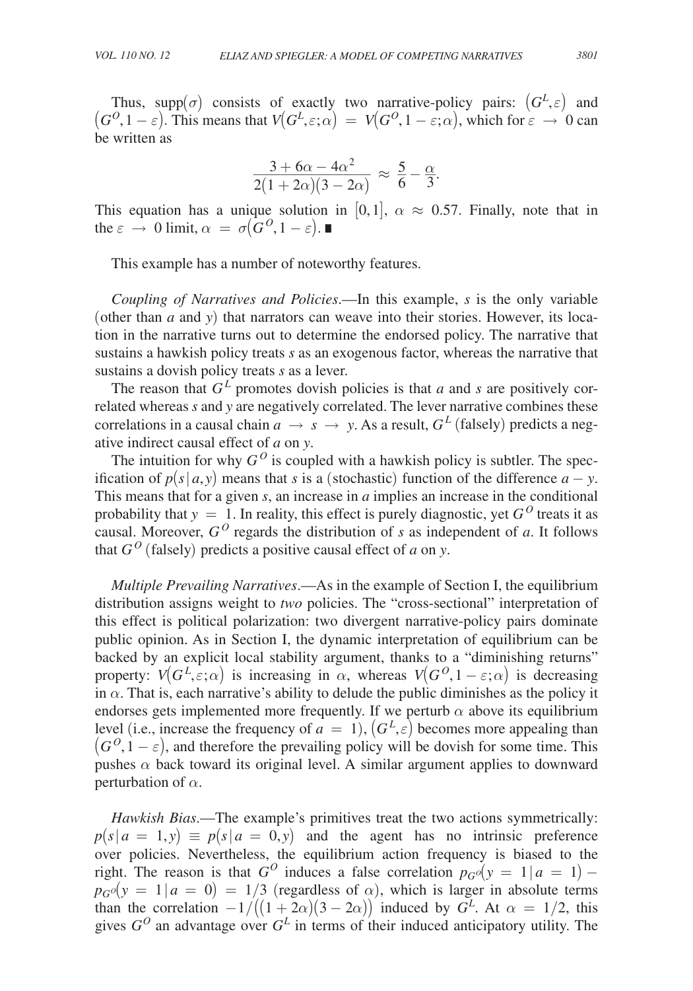Thus, supp $(\sigma)$  consists of exactly two narrative-policy pairs:  $(G^L, \varepsilon)$  and  $(G^O, 1 - \varepsilon)$ . This means that  $V(G^L, \varepsilon; \alpha) = V(G^O, 1 - \varepsilon; \alpha)$ , which for  $\varepsilon \to 0$  can be written as

be written as  
\n
$$
\frac{3 + 6\alpha - 4\alpha^2}{2(1 + 2\alpha)(3 - 2\alpha)} \approx \frac{5}{6} - \frac{\alpha}{3}.
$$
\nThis equation has a series, making in [0, 1], we get

This equation has a unique solution in [0,1],  $\alpha \approx 0.57$ . Finally, note that in the  $\varepsilon \to 0$  limit,  $\alpha = \sigma(\mathbf{G}^0, 1-\varepsilon)$ .

This example has a number of noteworthy features.

*Coupling of Narratives and Policies*.—In this example, *s* is the only variable (other than *a* and *y*) that narrators can weave into their stories. However, its location in the narrative turns out to determine the endorsed policy. The narrative that sustains a hawkish policy treats *s* as an exogenous factor, whereas the narrative that sustains a dovish policy treats *s* as a lever.

The reason that  $G^L$  promotes dovish policies is that *a* and *s* are positively correlated whereas *s* and *y* are negatively correlated. The lever narrative combines these correlations in a causal chain  $a \rightarrow s \rightarrow y$ . As a result,  $G<sup>L</sup>$  (falsely) predicts a negative indirect causal effect of *a* on *y*.

The intuition for why  $G<sup>O</sup>$  is coupled with a hawkish policy is subtler. The specification of  $p(s|a, y)$  means that *s* is a (stochastic) function of the difference  $a - y$ . This means that for a given *s*, an increase in *a* implies an increase in the conditional probability that  $y = 1$ . In reality, this effect is purely diagnostic, yet  $G<sup>0</sup>$  treats it as causal. Moreover,  $G^O$  regards the distribution of *s* as independent of *a*. It follows that  $G^O$  (falsely) predicts a positive causal effect of *a* on *y*.

*Multiple Prevailing Narratives*.—As in the example of Section I, the equilibrium distribution assigns weight to *two* policies. The "cross-sectional" interpretation of this effect is political polarization: two divergent narrative-policy pairs dominate public opinion. As in Section I, the dynamic interpretation of equilibrium can be backed by an explicit local stability argument, thanks to a "diminishing returns" property:  $V(G^L, \varepsilon; \alpha)$  is increasing in  $\alpha$ , whereas  $V(G^O, 1 - \varepsilon; \alpha)$  is decreasing in  $\alpha$ . That is, each narrative's ability to delude the public diminishes as the policy it endorses gets implemented more frequently. If we perturb  $\alpha$  above its equilibrium level (i.e., increase the frequency of  $a = 1$ ),  $(G<sup>L</sup>, \varepsilon)$  becomes more appealing than  $(G^{O}, 1-\varepsilon)$ , and therefore the prevailing policy will be dovish for some time. This pushes  $\alpha$  back toward its original level. A similar argument applies to downward perturbation of  $\alpha$ .

*Hawkish Bias*.—The example's primitives treat the two actions symmetrically:  $p(s|a = 1, y) \equiv p(s|a = 0, y)$  and the agent has no intrinsic preference over policies. Nevertheless, the equilibrium action frequency is biased to the right. The reason is that  $G^O$  induces a false correlation  $p_GO(y) = 1/a = 1$ ) –  $p_{G}o(y = 1 | a = 0) = 1/3$  (regardless of  $\alpha$ ), which is larger in absolute terms than the correlation  $-1/((1+2\alpha)(3-2\alpha))$  induced by  $G^L$ . At  $\alpha = 1/2$ , this gives  $G^O$  an advantage over  $G^L$  in terms of their induced anticipatory utility. The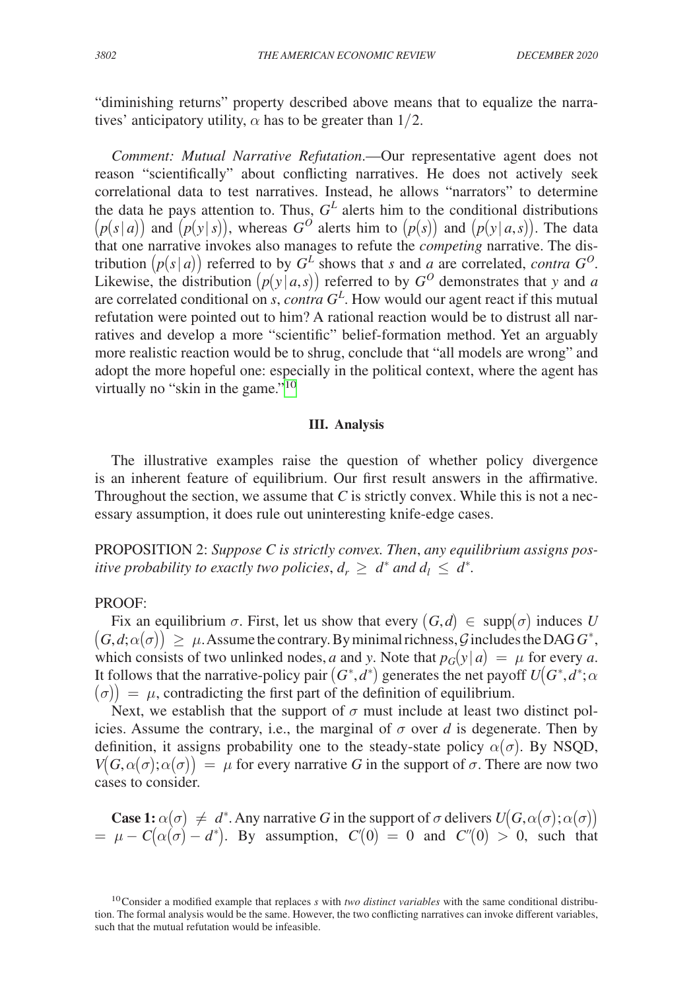"diminishing returns" property described above means that to equalize the narratives' anticipatory utility,  $\alpha$  has to be greater than 1/2.

*Comment: Mutual Narrative Refutation*.—Our representative agent does not reason "scientifically" about conflicting narratives. He does not actively seek correlational data to test narratives. Instead, he allows "narrators" to determine the data he pays attention to. Thus,  $G<sup>L</sup>$  alerts him to the conditional distributions  $(p(s|a))$  and  $(p(y|s))$ , whereas  $G^O$  alerts him to  $(p(s))$  and  $(p(y|a,s))$ . The data that one narrative invokes also manages to refute the *competing* narrative. The distribution  $(p(s|a))$  referred to by  $G^L$  shows that *s* and *a* are correlated, *contra*  $G^O$ . Likewise, the distribution  $(p(y | a, s))$  referred to by  $G^O$  demonstrates that *y* and *a* are correlated conditional on *s*, *contra G<sup>L</sup>* . How would our agent react if this mutual refutation were pointed out to him? A rational reaction would be to distrust all narratives and develop a more "scientific" belief-formation method. Yet an arguably more realistic reaction would be to shrug, conclude that "all models are wrong" and adopt the more hopeful one: especially in the political context, where the agent has virtually no "skin in the game."<sup>[10](#page-16-0)</sup>

#### **III. Analysis**

The illustrative examples raise the question of whether policy divergence is an inherent feature of equilibrium. Our first result answers in the affirmative. Throughout the section, we assume that  $C$  is strictly convex. While this is not a necessary assumption, it does rule out uninteresting knife-edge cases.

PROPOSITION 2: *Suppose C is strictly convex. Then*, *any equilibrium assigns positive probability to exactly two policies,*  $d_r \geq d^*$  *and*  $d_l \leq d^*$ *.* 

## PROOF:

Fix an equilibrium  $\sigma$ . First, let us show that every  $(G,d) \in \text{supp}(\sigma)$  induces *U*  $\big(G, d; \alpha(\sigma)\big) \, \geq \, \mu.$  Assume the contrary. By minimal richness,  ${\cal G}$  includes the DAG  $G^*,$ which consists of two unlinked nodes, *a* and *y*. Note that  $p_G(y|a) = \mu$  for every *a*. It follows that the narrative-policy pair  $(G^*, d^*)$  generates the net payoff  $U(G^*, d^*; \alpha)$  $\langle \sigma \rangle$  =  $\mu$ , contradicting the first part of the definition of equilibrium.

Next, we establish that the support of  $\sigma$  must include at least two distinct policies. Assume the contrary, i.e., the marginal of  $\sigma$  over *d* is degenerate. Then by definition, it assigns probability one to the steady-state policy  $\alpha(\sigma)$ . By NSQD,  $V(G, \alpha(\sigma); \alpha(\sigma)) = \mu$  for every narrative *G* in the support of  $\sigma$ . There are now two cases to consider.

**Case 1:**  $\alpha(\sigma) \neq d^*$ . Any narrative *G* in the support of  $\sigma$  delivers  $U(G, \alpha(\sigma); \alpha(\sigma))$  $= \mu - C(\alpha(\sigma) - d^*)$ . By assumption,  $C'(0) = 0$  and  $C''(0) > 0$ , such that

<span id="page-16-0"></span><sup>10</sup>Consider a modified example that replaces *s* with *two distinct variables* with the same conditional distribution. The formal analysis would be the same. However, the two conflicting narratives can invoke different variables, such that the mutual refutation would be infeasible.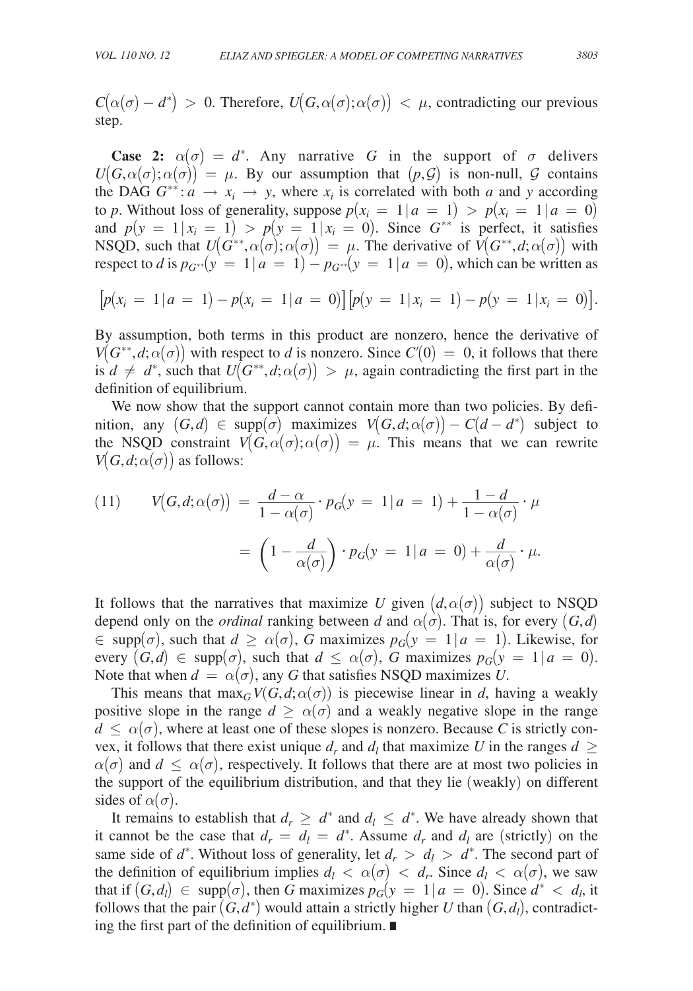$C(\alpha(\sigma) - d^*) > 0$ . Therefore,  $U(G, \alpha(\sigma); \alpha(\sigma)) < \mu$ , contradicting our previous step.

**Case 2:**  $\alpha(\sigma) = d^*$ . Any narrative *G* in the support of  $\sigma$  delivers  $U(G, \alpha(\sigma); \alpha(\sigma)) = \mu$ . By our assumption that  $(p, \mathcal{G})$  is non-null,  $\mathcal G$  contains the DAG  $G^{**}: a \rightarrow x_i \rightarrow y$ , where  $x_i$  is correlated with both *a* and *y* according to *p*. Without loss of generality, suppose  $p(x_i = 1 | a = 1) > p(x_i = 1 | a = 0)$ and  $p(y = 1 | x_i = 1) > p(y = 1 | x_i = 0)$ . Since  $G^{**}$  is perfect, it satisfies NSQD, such that  $U(G^{**}, \alpha(\sigma); \alpha(\sigma)) = \mu$ . The derivative of  $V(G^{**}, d; \alpha(\sigma))$  with respect to *d* is  $p_{G^{**}}(y = 1 | a = 1) - p_{G^{**}}(y = 1 | a = 0)$ , which can be written as

$$
[p(x_i = 1 | a = 1) - p(x_i = 1 | a = 0)] [p(y = 1 | x_i = 1) - p(y = 1 | x_i = 0)].
$$

By assumption, both terms in this product are nonzero, hence the derivative of *V*( $G^{**}, d; \alpha(\sigma)$ ) with respect to *d* is nonzero. Since  $C'(0) = 0$ , it follows that there is  $d \neq d^*$ , such that  $U(G^{**}, d; \alpha(\sigma)) > \mu$ , again contradicting the first part in the definition of equilibrium.

We now show that the support cannot contain more than two policies. By definition, any  $(G,d) \in \text{supp}(\sigma)$  maximizes  $V(G,d;\alpha(\sigma)) - C(d-d^*)$  subject to the NSQD constraint  $V(G, \alpha(\sigma); \alpha(\sigma)) = \mu$ . This means that we can rewrite

$$
V(G, d; \alpha(\sigma)) \text{ as follows:}
$$
\n
$$
(11) \qquad V(G, d; \alpha(\sigma)) = \frac{d - \alpha}{1 - \alpha(\sigma)} \cdot p_G(y = 1 | a = 1) + \frac{1 - d}{1 - \alpha(\sigma)} \cdot \mu
$$
\n
$$
= \left(1 - \frac{d}{\alpha(\sigma)}\right) \cdot p_G(y = 1 | a = 0) + \frac{d}{\alpha(\sigma)} \cdot \mu.
$$

It follows that the narratives that maximize *U* given  $(d, \alpha(\sigma))$  subject to NSQD depend only on the *ordinal* ranking between *d* and  $\alpha(\sigma)$ . That is, for every  $(G,d)$  $\in$  supp( $\sigma$ ), such that  $d \geq \alpha(\sigma)$ , G maximizes  $p_G(y = 1 | a = 1)$ . Likewise, for every  $(G,d) \in \text{supp}(\sigma)$ , such that  $d \leq \alpha(\sigma)$ , *G* maximizes  $p_G(y = 1 | a = 0)$ . Note that when  $d = \alpha(\sigma)$ , any G that satisfies NSQD maximizes U.

This means that  $\max_G V(G, d; \alpha(\sigma))$  is piecewise linear in *d*, having a weakly positive slope in the range  $d \geq \alpha(\sigma)$  and a weakly negative slope in the range  $d \leq \alpha(\sigma)$ , where at least one of these slopes is nonzero. Because C is strictly convex, it follows that there exist unique  $d_r$  and  $d_l$  that maximize *U* in the ranges  $d \geq$  $\alpha(\sigma)$  and  $d \leq \alpha(\sigma)$ , respectively. It follows that there are at most two policies in the support of the equilibrium distribution, and that they lie (weakly) on different sides of  $\alpha(\sigma)$ .

It remains to establish that  $d_r \geq d^*$  and  $d_l \leq d^*$ . We have already shown that it cannot be the case that  $d_r = d_l = d^*$ . Assume  $d_r$  and  $d_l$  are (strictly) on the same side of  $d^*$ . Without loss of generality, let  $d_r > d_l > d^*$ . The second part of the definition of equilibrium implies  $d_l < \alpha(\sigma) < d_r$ . Since  $d_l < \alpha(\sigma)$ , we saw that if  $(G, d) \in \text{supp}(\sigma)$ , then *G* maximizes  $p_G(y = 1 | a = 0)$ . Since  $d^* < d_l$ , it follows that the pair  $(G, d^*)$  would attain a strictly higher *U* than  $(G, d_l)$ , contradicting the first part of the definition of equilibrium. ∎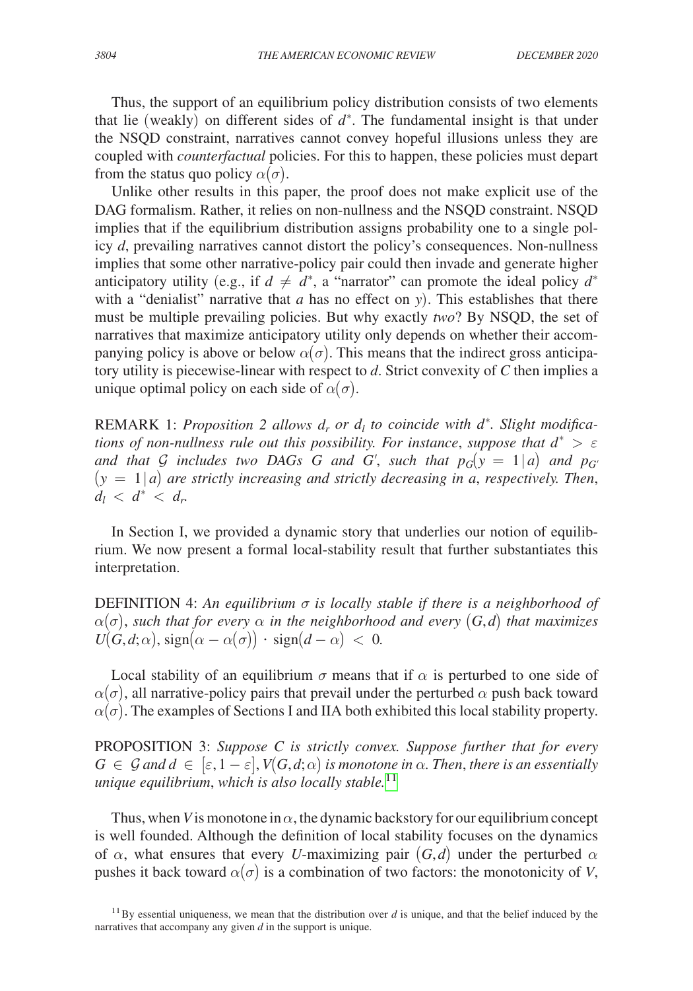Thus, the support of an equilibrium policy distribution consists of two elements that lie (weakly) on different sides of  $d^*$ . The fundamental insight is that under the NSQD constraint, narratives cannot convey hopeful illusions unless they are coupled with *counterfactual* policies. For this to happen, these policies must depart from the status quo policy  $\alpha(\sigma)$ .

Unlike other results in this paper, the proof does not make explicit use of the DAG formalism. Rather, it relies on non-nullness and the NSQD constraint. NSQD implies that if the equilibrium distribution assigns probability one to a single policy *d*, prevailing narratives cannot distort the policy's consequences. Non-nullness implies that some other narrative-policy pair could then invade and generate higher anticipatory utility (e.g., if  $d \neq d^*$ , a "narrator" can promote the ideal policy  $d^*$ with a "denialist" narrative that *a* has no effect on *y*). This establishes that there must be multiple prevailing policies. But why exactly *two*? By NSQD, the set of narratives that maximize anticipatory utility only depends on whether their accompanying policy is above or below  $\alpha(\sigma)$ . This means that the indirect gross anticipatory utility is piecewise-linear with respect to *d*. Strict convexity of *C* then implies a unique optimal policy on each side of  $\alpha(\sigma)$ .

REMARK 1: *Proposition 2 allows d<sub>r</sub> or d<sub>l</sub> to coincide with d<sup>\*</sup>. Slight modifications of non-nullness rule out this possibility. For instance, suppose that*  $d^* > \varepsilon$ *and that G includes two DAGs G and G', such that*  $p_G(y) = 1/a$  *and*  $p_{G'}$ (*y* = 1∣*a*) *are strictly increasing and strictly decreasing in a*, *respectively. Then*,  $d_l < d^* < d_r$ 

In Section I, we provided a dynamic story that underlies our notion of equilibrium. We now present a formal local-stability result that further substantiates this interpretation.

DEFINITION 4: *An equilibrium* σ *is locally stable if there is a neighborhood of*   $\alpha(\sigma)$ *, such that for every*  $\alpha$  *in the neighborhood and every*  $(G,d)$  *that maximizes*  $U(G, d; \alpha)$ , sign( $\alpha - \alpha(\sigma)$ ) · sign( $d - \alpha$ ) < 0*.* 

Local stability of an equilibrium  $\sigma$  means that if  $\alpha$  is perturbed to one side of  $\alpha(\sigma)$ , all narrative-policy pairs that prevail under the perturbed  $\alpha$  push back toward  $\alpha(\sigma)$ . The examples of Sections I and IIA both exhibited this local stability property.

PROPOSITION 3: *Suppose C is strictly convex. Suppose further that for every*   $G \in \mathcal{G}$  and  $d \in [\varepsilon, 1-\varepsilon], V(G, d; \alpha)$  is monotone in  $\alpha$ . Then, there is an essentially *unique equilibrium*, *which is also locally stable.*[11](#page-18-0)

Thus, when *V* is monotone in  $\alpha$ , the dynamic backstory for our equilibrium concept is well founded. Although the definition of local stability focuses on the dynamics of  $\alpha$ , what ensures that every *U*-maximizing pair  $(G,d)$  under the perturbed  $\alpha$ pushes it back toward  $\alpha(\sigma)$  is a combination of two factors: the monotonicity of *V*,

<span id="page-18-0"></span><sup>&</sup>lt;sup>11</sup>By essential uniqueness, we mean that the distribution over  $d$  is unique, and that the belief induced by the narratives that accompany any given *d* in the support is unique.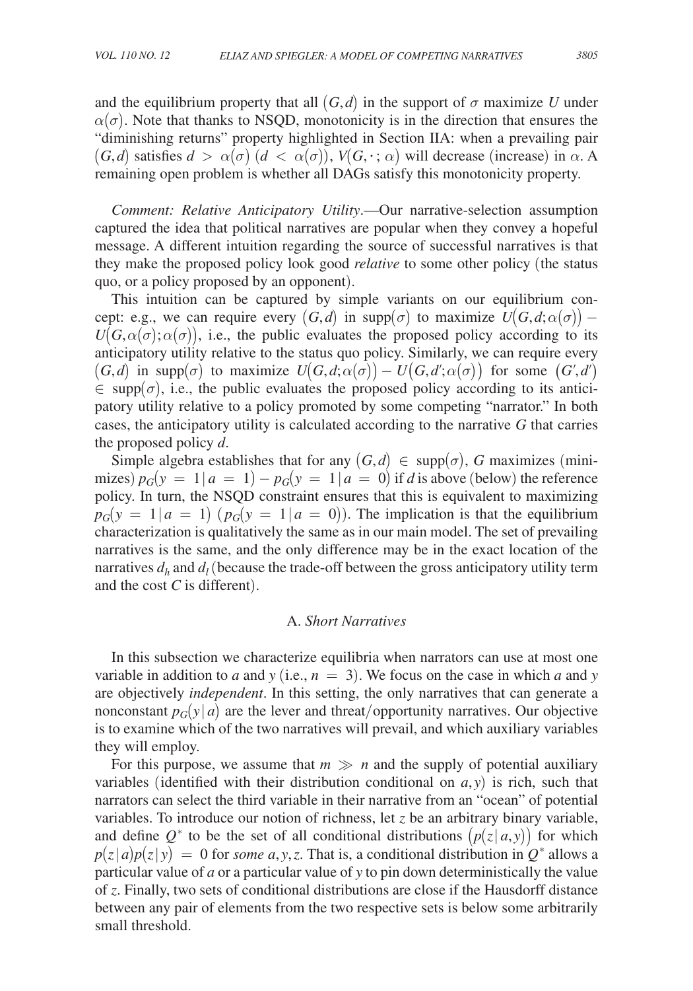and the equilibrium property that all  $(G,d)$  in the support of  $\sigma$  maximize U under  $\alpha(\sigma)$ . Note that thanks to NSQD, monotonicity is in the direction that ensures the "diminishing returns" property highlighted in Section IIA: when a prevailing pair  $(G,d)$  satisfies  $d > \alpha(\sigma)$   $(d < \alpha(\sigma))$ ,  $V(G,\cdot; \alpha)$  will decrease (increase) in  $\alpha$ . A remaining open problem is whether all DAGs satisfy this monotonicity property.

*Comment: Relative Anticipatory Utility*.—Our narrative-selection assumption captured the idea that political narratives are popular when they convey a hopeful message. A different intuition regarding the source of successful narratives is that they make the proposed policy look good *relative* to some other policy (the status quo, or a policy proposed by an opponent).

This intuition can be captured by simple variants on our equilibrium concept: e.g., we can require every  $(G,d)$  in supp $(\sigma)$  to maximize  $U(G,d;\alpha(\sigma))$  –  $U(G, \alpha(\sigma); \alpha(\sigma))$ , i.e., the public evaluates the proposed policy according to its anticipatory utility relative to the status quo policy. Similarly, we can require every  $(G,d)$  in supp $(\sigma)$  to maximize  $U(G,d;\alpha(\sigma)) - U(G,d';\alpha(\sigma))$  for some  $(G',d')$  $\in$  supp $(\sigma)$ , i.e., the public evaluates the proposed policy according to its anticipatory utility relative to a policy promoted by some competing "narrator." In both cases, the anticipatory utility is calculated according to the narrative *G* that carries the proposed policy *d*.

Simple algebra establishes that for any  $(G,d) \in \text{supp}(\sigma)$ , *G* maximizes (minimizes)  $p_G(y = 1 | a = 1) - p_G(y = 1 | a = 0)$  if *d* is above (below) the reference policy. In turn, the NSQD constraint ensures that this is equivalent to maximizing  $p_G(y = 1 | a = 1)$  ( $p_G(y = 1 | a = 0)$ ). The implication is that the equilibrium characterization is qualitatively the same as in our main model. The set of prevailing narratives is the same, and the only difference may be in the exact location of the narratives  $d_h$  and  $d_l$  (because the trade-off between the gross anticipatory utility term and the cost *C* is different).

## A. *Short Narratives*

In this subsection we characterize equilibria when narrators can use at most one variable in addition to *a* and *y* (i.e.,  $n = 3$ ). We focus on the case in which *a* and *y* are objectively *independent*. In this setting, the only narratives that can generate a nonconstant  $p_G(y|a)$  are the lever and threat/opportunity narratives. Our objective is to examine which of the two narratives will prevail, and which auxiliary variables they will employ.

For this purpose, we assume that  $m \gg n$  and the supply of potential auxiliary variables (identified with their distribution conditional on  $a$ ,  $y$ ) is rich, such that narrators can select the third variable in their narrative from an "ocean" of potential variables. To introduce our notion of richness, let *z* be an arbitrary binary variable, and define  $Q^*$  to be the set of all conditional distributions  $(p(z|a, y))$  for which  $p(z|a)p(z|y) = 0$  for *some a*, *y*, *z*. That is, a conditional distribution in  $Q^*$  allows a particular value of *a* or a particular value of *y* to pin down deterministically the value of *z*. Finally, two sets of conditional distributions are close if the Hausdorff distance between any pair of elements from the two respective sets is below some arbitrarily small threshold.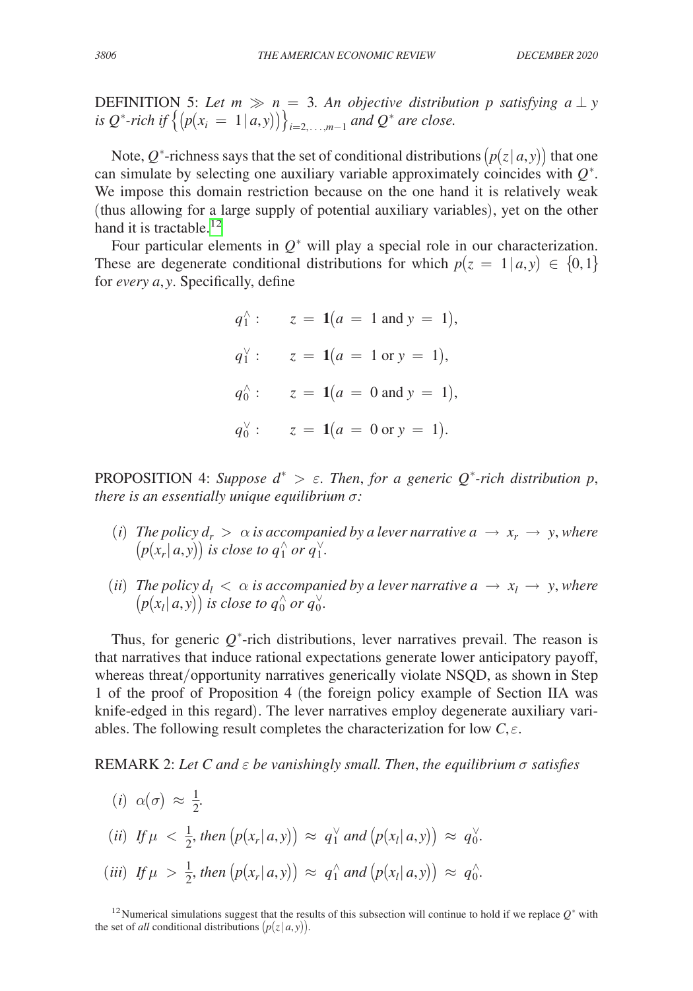DEFINITION 5: Let  $m \gg n = 3$ . An objective distribution p satisfying  $a \perp y$ *is*  $Q^*$ -rich if  $\{(p(x_i = 1 | a, y))\}_{i=2,\ldots,m-1}$  and  $Q^*$  are close.

Note,  $Q^*$ -richness says that the set of conditional distributions  $(p(z|a, y))$  that one can simulate by selecting one auxiliary variable approximately coincides with *Q*<sup>∗</sup> . We impose this domain restriction because on the one hand it is relatively weak (thus allowing for a large supply of potential auxiliary variables), yet on the other hand it is tractable.<sup>[12](#page-20-0)</sup>

Four particular elements in  $Q^*$  will play a special role in our characterization. These are degenerate conditional distributions for which  $p(z = 1 | a, y) \in \{0, 1\}$ for *every a*, *y*. Specifically, define

 $q_1^{\wedge}$  $q_1^{\wedge}$ :  $z = 1(a = 1 \text{ and } y = 1),$  $q_1^{\vee}$  $q_1^{\vee}$ :  $z = 1(a = 1 \text{ or } y = 1),$  $q_0^{\wedge}$  $q_0^{\wedge}$ :  $z = 1(a = 0 \text{ and } y = 1),$  $q_0^{\vee}$  :  $z = 1(a = 0 \text{ or } y = 1).$ 

PROPOSITION 4: *Suppose*  $d^* > \varepsilon$ . *Then, for a generic*  $Q^*$ -rich distribution p, *there is an essentially unique equilibrium* σ*:*

- (*i*) *The policy*  $d_r > \alpha$  *is accompanied by a lever narrative*  $a \rightarrow x_r \rightarrow y$ *, where*  $\left(p(x_r | a, y)\right)$  is close to  $q_1^\wedge$  or  $q_1^\vee$ .
- (*ii*) *The policy*  $d_l < \alpha$  *is accompanied by a lever narrative*  $a \rightarrow x_l \rightarrow y$ *, where*  $\left(p(x_l | a, y)\right)$  is close to  $q_0^{\wedge}$  or  $q_0^{\vee}$ .

Thus, for generic  $Q^*$ -rich distributions, lever narratives prevail. The reason is that narratives that induce rational expectations generate lower anticipatory payoff, whereas threat/opportunity narratives generically violate NSQD, as shown in Step 1 of the proof of Proposition 4 (the foreign policy example of Section IIA was knife-edged in this regard). The lever narratives employ degenerate auxiliary variables. The following result completes the characterization for low  $C, \varepsilon$ .

REMARK 2: *Let C and* ε *be vanishingly small. Then*, *the equilibrium* σ *satisfies*

(i) 
$$
\alpha(\sigma) \approx \frac{1}{2}
$$
.  
\n(ii) If  $\mu < \frac{1}{2}$ , then  $(p(x_r|a, y)) \approx q_1^{\vee}$  and  $(p(x_l|a, y)) \approx q_0^{\vee}$ .  
\n(iii) If  $\mu > \frac{1}{2}$ , then  $(p(x_r|a, y)) \approx q_1^{\wedge}$  and  $(p(x_l|a, y)) \approx q_0^{\wedge}$ .

<span id="page-20-0"></span><sup>12</sup>Numerical simulations suggest that the results of this subsection will continue to hold if we replace *Q*<sup>∗</sup> with the set of *all* conditional distributions  $(p(z|a, y))$ .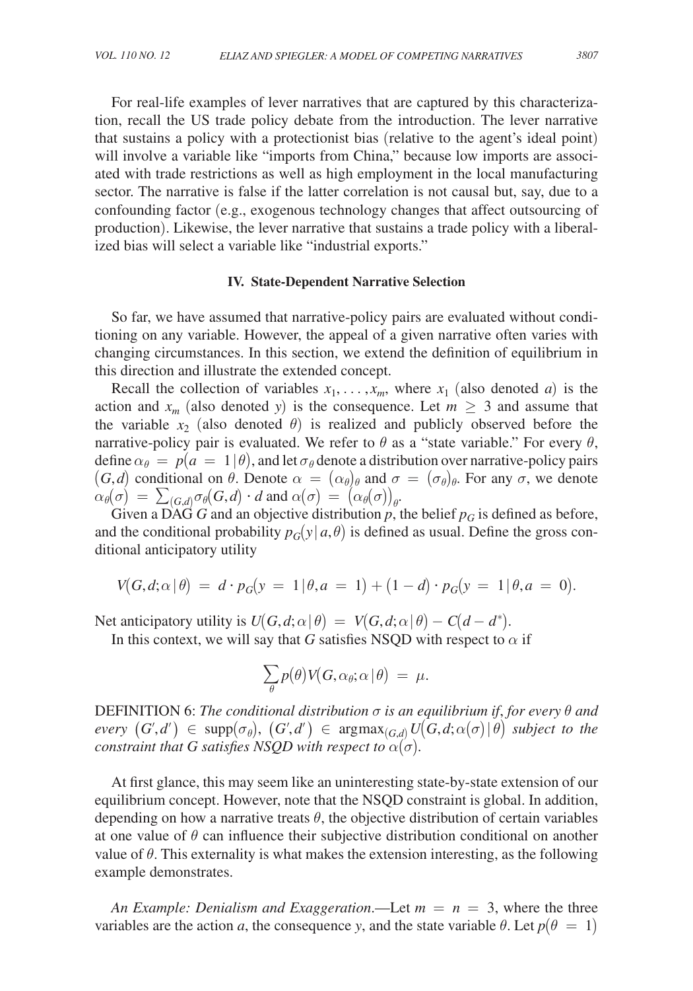For real-life examples of lever narratives that are captured by this characterization, recall the US trade policy debate from the introduction. The lever narrative that sustains a policy with a protectionist bias (relative to the agent's ideal point) will involve a variable like "imports from China," because low imports are associated with trade restrictions as well as high employment in the local manufacturing sector. The narrative is false if the latter correlation is not causal but, say, due to a confounding factor (e.g., exogenous technology changes that affect outsourcing of production). Likewise, the lever narrative that sustains a trade policy with a liberalized bias will select a variable like "industrial exports."

#### **IV. State-Dependent Narrative Selection**

So far, we have assumed that narrative-policy pairs are evaluated without conditioning on any variable. However, the appeal of a given narrative often varies with changing circumstances. In this section, we extend the definition of equilibrium in this direction and illustrate the extended concept.

Recall the collection of variables  $x_1, \ldots, x_m$ , where  $x_1$  (also denoted *a*) is the action and  $x_m$  (also denoted *y*) is the consequence. Let  $m \geq 3$  and assume that the variable  $x_2$  (also denoted  $\theta$ ) is realized and publicly observed before the narrative-policy pair is evaluated. We refer to  $\theta$  as a "state variable." For every  $\theta$ , define  $\alpha_{\theta} = p(a = 1 | \theta)$ , and let  $\sigma_{\theta}$  denote a distribution over narrative-policy pairs  $(G,d)$  conditional on  $\theta$ . Denote  $\alpha = (\alpha_{\theta})_{\theta}$  and  $\sigma = (\sigma_{\theta})_{\theta}$ . For any  $\sigma$ , we denote  $\alpha_{\theta}(\sigma) = \sum_{(G,d)} \sigma_{\theta}(G,d) \cdot d$  and  $\alpha(\sigma) = (\alpha_{\theta}(\sigma))_{\theta}.$ 

Given a DAG *G* and an objective distribution  $p$ , the belief  $p_G$  is defined as before, and the conditional probability  $p_G(y | a, \theta)$  is defined as usual. Define the gross conditional anticipatory utility

$$
V(G, d; \alpha | \theta) = d \cdot p_G(y = 1 | \theta, a = 1) + (1 - d) \cdot p_G(y = 1 | \theta, a = 0).
$$

Net anticipatory utility is  $U(G, d; \alpha | \theta) = V(G, d; \alpha | \theta) - C(d - d^*)$ .

In this context, we will say that *G* satisfies NSQD with respect to  $\alpha$  if

$$
\sum_{\theta} p(\theta) V(G, \alpha_{\theta}; \alpha | \theta) = \mu.
$$

DEFINITION 6: *The conditional distribution* σ *is an equilibrium if*, *for every* θ *and*   $every (G', d') \in supp(\sigma_{\theta}), (G', d') \in argmax_{(G,d)} U(G, d; \alpha(\sigma) | \theta)$  subject to the *constraint that G satisfies NSQD with respect to*  $\alpha(\sigma)$ *.* 

At first glance, this may seem like an uninteresting state-by-state extension of our equilibrium concept. However, note that the NSQD constraint is global. In addition, depending on how a narrative treats  $\theta$ , the objective distribution of certain variables at one value of  $\theta$  can influence their subjective distribution conditional on another value of  $\theta$ . This externality is what makes the extension interesting, as the following example demonstrates.

*An Example: Denialism and Exaggeration*.—Let  $m = n = 3$ , where the three variables are the action *a*, the consequence *y*, and the state variable  $\theta$ . Let  $p(\theta = 1)$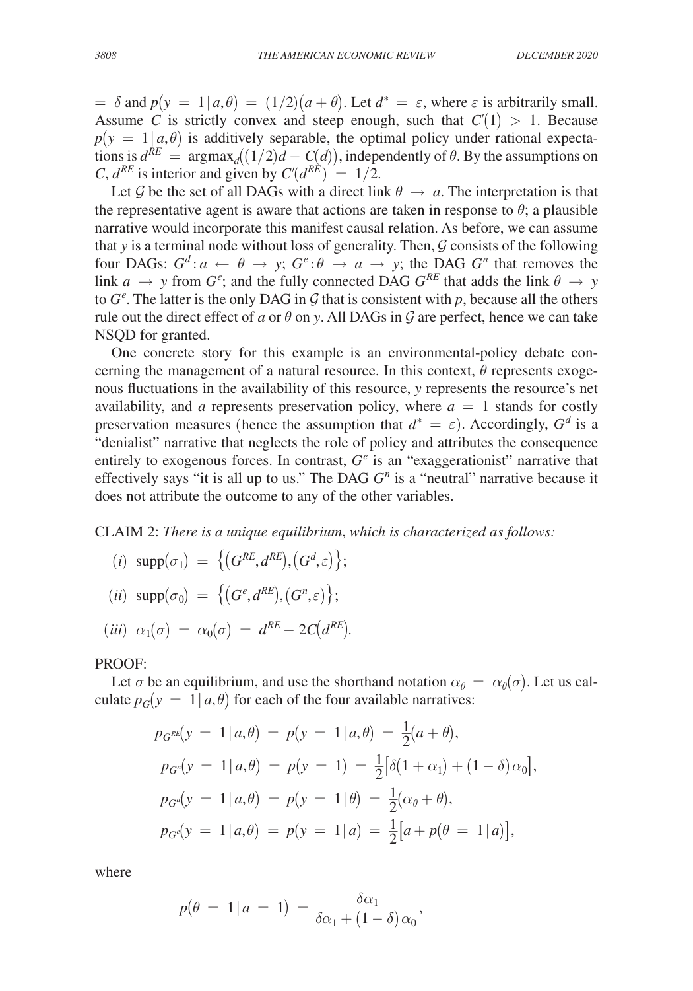$= \delta$  and  $p(y = 1 | a, \theta) = (1/2)(a + \theta)$ . Let  $d^* = \varepsilon$ , where  $\varepsilon$  is arbitrarily small. Assume *C* is strictly convex and steep enough, such that  $C'(1) > 1$ . Because  $p(y = 1 | a, \theta)$  is additively separable, the optimal policy under rational expectations is  $d^{RE} = \text{argmax}_d((1/2)d - C(d))$ , independently of  $\theta$ . By the assumptions on *C*,  $d^{RE}$  is interior and given by  $C'(d^{RE}) = 1/2$ .

Let G be the set of all DAGs with a direct link  $\theta \rightarrow a$ . The interpretation is that the representative agent is aware that actions are taken in response to  $\theta$ ; a plausible narrative would incorporate this manifest causal relation. As before, we can assume that *y* is a terminal node without loss of generality. Then,  $G$  consists of the following four DAGs:  $G^d$ :  $a \leftarrow \theta \rightarrow y$ ;  $G^e$ :  $\theta \rightarrow a \rightarrow y$ ; the DAG  $G^n$  that removes the link  $a \rightarrow y$  from  $G^e$ ; and the fully connected DAG  $G^{RE}$  that adds the link  $\theta \rightarrow y$ to  $G^e$ . The latter is the only DAG in  $\mathcal G$  that is consistent with  $p$ , because all the others rule out the direct effect of *a* or  $\theta$  on *y*. All DAGs in  $\mathcal G$  are perfect, hence we can take NSQD for granted.

One concrete story for this example is an environmental-policy debate concerning the management of a natural resource. In this context,  $\theta$  represents exogenous fluctuations in the availability of this resource, *y* represents the resource's net availability, and *a* represents preservation policy, where  $a = 1$  stands for costly preservation measures (hence the assumption that  $d^* = \varepsilon$ ). Accordingly,  $G^d$  is a "denialist" narrative that neglects the role of policy and attributes the consequence entirely to exogenous forces. In contrast,  $G^e$  is an "exaggerationist" narrative that effectively says "it is all up to us." The DAG  $G<sup>n</sup>$  is a "neutral" narrative because it does not attribute the outcome to any of the other variables.

CLAIM 2: *There is a unique equilibrium*, *which is characterized as follows:*

- $(i) \ \text{supp}(\sigma_1) = \left\{ (G^{RE}, d^{RE}), (G^d, \varepsilon) \right\};$  $(iii) \ \ \text{supp}(\sigma_0) = \left\{ (G^e, d^{RE}), (G^n, \varepsilon) \right\};$  $(iii) \alpha_1(\sigma) = \alpha_0(\sigma) = d^{RE} - 2C(d^{RE}).$
- 

## PROOF:

Let  $\sigma$  be an equilibrium, and use the shorthand notation  $\alpha_{\theta} = \alpha_{\theta}(\sigma)$ . Let us calculate  $p_G(y = 1 | a, \theta)$  for each of the four available narratives:

$$
p_{G^{RE}}(y = 1 | a, \theta) = p(y = 1 | a, \theta) = \frac{1}{2}(a + \theta),
$$
  
\n
$$
p_{G^{n}}(y = 1 | a, \theta) = p(y = 1) = \frac{1}{2} [\delta(1 + \alpha_{1}) + (1 - \delta) \alpha_{0}],
$$
  
\n
$$
p_{G^{d}}(y = 1 | a, \theta) = p(y = 1 | \theta) = \frac{1}{2} (\alpha_{\theta} + \theta),
$$
  
\n
$$
p_{G^{c}}(y = 1 | a, \theta) = p(y = 1 | a) = \frac{1}{2} [a + p(\theta = 1 | a)],
$$

where

where  
\n
$$
p(\theta = 1 | a = 1) = \frac{\delta \alpha_1}{\delta \alpha_1 + (1 - \delta) \alpha_0},
$$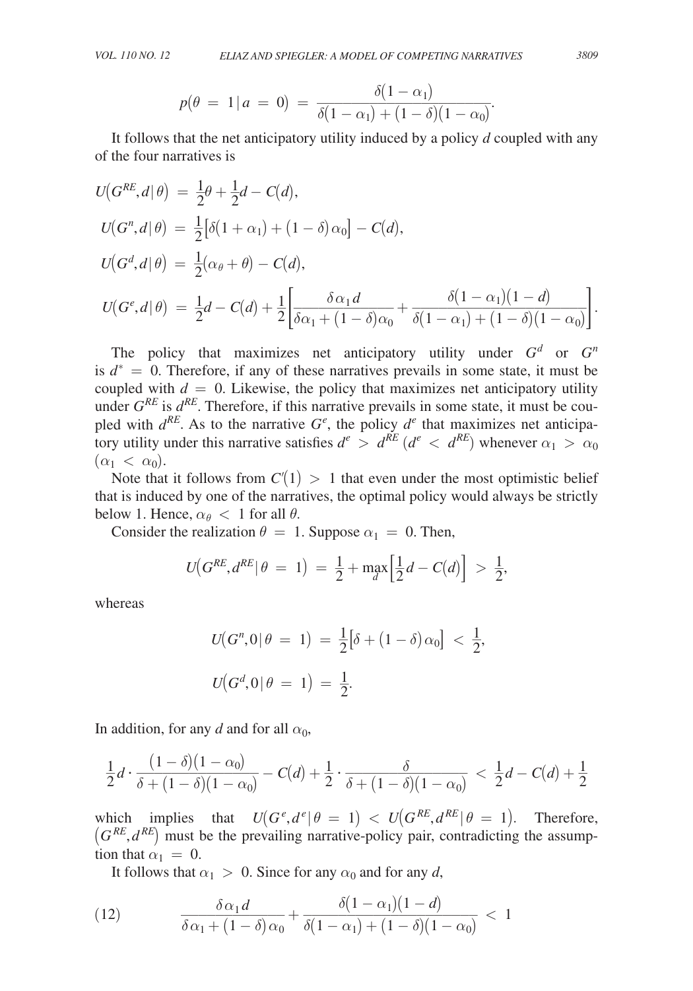VOL. 110 NO. 12 ELIAZ AND SPIEGLER: A MODEL OF COMPETING NARKATIVES 3809  
\n
$$
p(\theta = 1 | a = 0) = \frac{\delta(1 - \alpha_1)}{\delta(1 - \alpha_1) + (1 - \delta)(1 - \alpha_0)}.
$$
\nIt follows that the net anticipatory utility induced by a policy *d* coupled with any

of the four narratives is

$$
U(G^{RE}, d | \theta) = \frac{1}{2}\theta + \frac{1}{2}d - C(d),
$$
  
\n
$$
U(G^{R}, d | \theta) = \frac{1}{2} [\delta(1 + \alpha_1) + (1 - \delta)\alpha_0] - C(d),
$$
  
\n
$$
U(G^{d}, d | \theta) = \frac{1}{2}(\alpha_{\theta} + \theta) - C(d),
$$
  
\n
$$
U(G^{e}, d | \theta) = \frac{1}{2}d - C(d) + \frac{1}{2} \left[ \frac{\delta \alpha_1 d}{\delta \alpha_1 + (1 - \delta)\alpha_0} + \frac{\delta(1 - \alpha_1)(1 - d)}{\delta(1 - \alpha_1) + (1 - \delta)(1 - \alpha_0)} \right].
$$
  
\nThe policy that maximizes net anticipatory utility under  $G^{d}$  or  $G^{n}$ 

is  $d^* = 0$ . Therefore, if any of these narratives prevails in some state, it must be coupled with  $d = 0$ . Likewise, the policy that maximizes net anticipatory utility under  $G^{RE}$  is  $d^{RE}$ . Therefore, if this narrative prevails in some state, it must be coupled with  $d^{RE}$ . As to the narrative  $G^e$ , the policy  $d^e$  that maximizes net anticipatory utility under this narrative satisfies  $d^e > d^{RE} (d^e < d^{RE})$  whenever  $\alpha_1 > \alpha_0$  $(\alpha_1 < \alpha_0).$ 

Note that it follows from  $C'(1) > 1$  that even under the most optimistic belief that is induced by one of the narratives, the optimal policy would always be strictly below 1. Hence,  $\alpha_{\theta} < 1$  for all  $\theta$ .

Consider the realization  $\theta = 1$ . Suppose  $\alpha_1 = 0$ . Then,

$$
U(G^{RE}, d^{RE} | \theta = 1) = \frac{1}{2} + \max_{d} \left[ \frac{1}{2} d - C(d) \right] > \frac{1}{2},
$$

whereas

$$
U(G^n, 0 | \theta = 1) = \frac{1}{2} [\delta + (1 - \delta) \alpha_0] < \frac{1}{2},
$$
  

$$
U(G^d, 0 | \theta = 1) = \frac{1}{2}.
$$

In addition, for any *d* and for all 
$$
\alpha_0
$$
,  
\n
$$
\frac{1}{2}d \cdot \frac{(1-\delta)(1-\alpha_0)}{\delta + (1-\delta)(1-\alpha_0)} - C(d) + \frac{1}{2} \cdot \frac{\delta}{\delta + (1-\delta)(1-\alpha_0)} < \frac{1}{2}d - C(d) + \frac{1}{2}
$$

which implies that  $U(G^e, d^e | \theta = 1) < U(G^{RE}, d^{RE} | \theta = 1)$ . Therefore,  $(G^{RE}, d^{RE})$  must be the prevailing narrative-policy pair, contradicting the assumption that  $\alpha_1 = 0$ .

From that 
$$
\alpha_1 = 0
$$
.

\nIt follows that  $\alpha_1 > 0$ . Since for any  $\alpha_0$  and for any  $d$ ,

\n(12)

\n
$$
\frac{\delta \alpha_1 d}{\delta \alpha_1 + (1 - \delta) \alpha_0} + \frac{\delta (1 - \alpha_1)(1 - d)}{\delta (1 - \alpha_1) + (1 - \delta)(1 - \alpha_0)} < 1
$$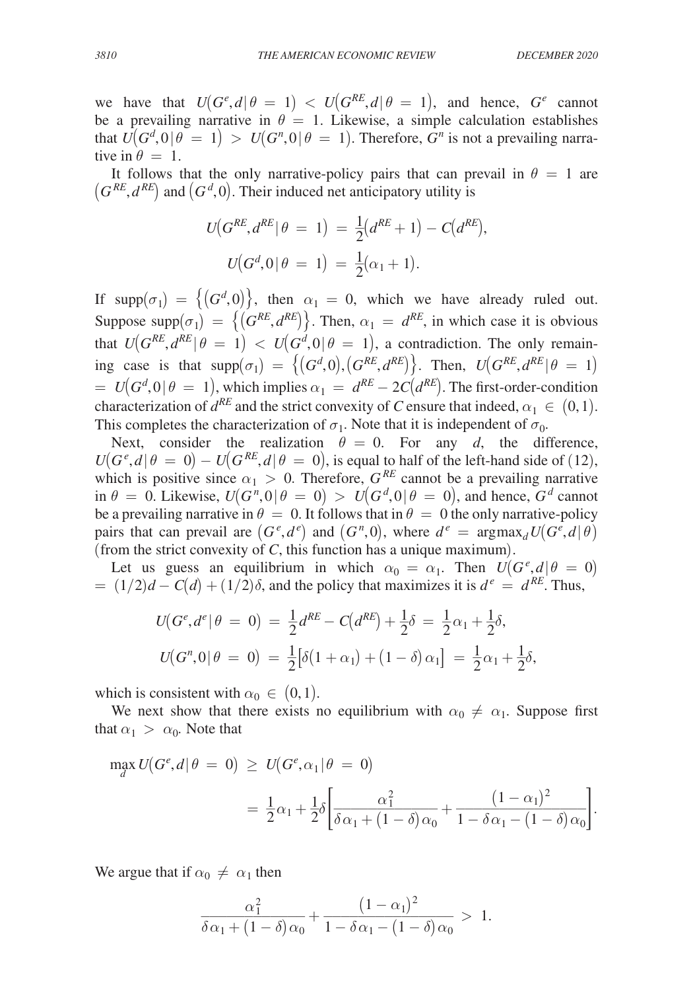we have that  $U(G^e, d | \theta = 1) < U(G^{RE}, d | \theta = 1)$ , and hence,  $G^e$  cannot be a prevailing narrative in  $\theta = 1$ . Likewise, a simple calculation establishes that  $U(G^d, 0 | \theta = 1) > U(G^n, 0 | \theta = 1)$ . Therefore,  $G^n$  is not a prevailing narrative in  $\theta = 1$ .

It follows that the only narrative-policy pairs that can prevail in  $\theta = 1$  are  $(G^{RE}, d^{RE})$  and  $(G^d, 0)$ . Their induced net anticipatory utility is

$$
U(G^{RE}, d^{RE} | \theta = 1) = \frac{1}{2} (d^{RE} + 1) - C(d^{RE}),
$$
  

$$
U(G^d, 0 | \theta = 1) = \frac{1}{2} (\alpha_1 + 1).
$$

If supp $(\sigma_1) = \{ (G^d, 0) \}$ , then  $\alpha_1 = 0$ , which we have already ruled out. Suppose supp $(\sigma_1) = \{ (G^{RE}, d^{RE}) \}$ . Then,  $\alpha_1 = d^{RE}$ , in which case it is obvious that  $U(G^{RE}, d^{RE} | \theta = 1) < U(G^d, 0 | \theta = 1)$ , a contradiction. The only remaining case is that  $\text{supp}(\sigma_1) = \{ (G^d, 0), (G^{RE}, d^{RE}) \}$ . Then,  $U(G^{RE}, d^{RE} | \theta = 1)$  $= U(G^d, 0 | \theta = 1)$ , which implies  $\alpha_1 = d^{RE} - 2C(d^{RE})$ . The first-order-condition characterization of  $d^{RE}$  and the strict convexity of *C* ensure that indeed,  $\alpha_1 \in (0,1)$ . This completes the characterization of  $\sigma_1$ . Note that it is independent of  $\sigma_0$ .

Next, consider the realization  $\theta = 0$ . For any *d*, the difference,  $U(G^e, d | \theta = 0) - U(G^{RE}, d | \theta = 0)$ , is equal to half of the left-hand side of (12), which is positive since  $\alpha_1 > 0$ . Therefore,  $G^{RE}$  cannot be a prevailing narrative in  $\theta = 0$ . Likewise,  $U(G^n, 0 | \theta = 0) > U(G^d, 0 | \theta = 0)$ , and hence,  $G^d$  cannot be a prevailing narrative in  $\theta = 0$ . It follows that in  $\theta = 0$  the only narrative-policy pairs that can prevail are  $(G^e, d^e)$  and  $(G^n, 0)$ , where  $d^e = \text{argmax}_d U(G^e, d | \theta)$ (from the strict convexity of *C*, this function has a unique maximum).

Let us guess an equilibrium in which  $\alpha_0 = \alpha_1$ . Then  $U(G^e, d | \theta = 0)$  $= (1/2)d - C(d) + (1/2)\delta$ , and the policy that maximizes it is  $d^e = d^{RE}$ . Thus,

$$
U(Ge, de | \theta = 0) = \frac{1}{2}d^{RE} - C(d^{RE}) + \frac{1}{2}\delta = \frac{1}{2}\alpha_1 + \frac{1}{2}\delta,
$$
  

$$
U(Gn, 0 | \theta = 0) = \frac{1}{2} [\delta(1 + \alpha_1) + (1 - \delta)\alpha_1] = \frac{1}{2}\alpha_1 + \frac{1}{2}\delta,
$$

which is consistent with  $\alpha_0 \in (0,1)$ .

We next show that there exists no equilibrium with  $\alpha_0 \neq \alpha_1$ . Suppose first that  $\alpha_1 > \alpha_0$ . Note that

$$
\max_{d} U(G^e, d | \theta = 0) \geq U(G^e, \alpha_1 | \theta = 0)
$$
  
= 
$$
\frac{1}{2} \alpha_1 + \frac{1}{2} \delta \left[ \frac{\alpha_1^2}{\delta \alpha_1 + (1 - \delta) \alpha_0} + \frac{(1 - \alpha_1)^2}{1 - \delta \alpha_1 - (1 - \delta) \alpha_0} \right].
$$

We argue that if  $\alpha_0 \neq \alpha_1$  then

we argue that if 
$$
\alpha_0 \neq \alpha_1
$$
 then  

$$
\frac{\alpha_1^2}{\delta \alpha_1 + (1 - \delta) \alpha_0} + \frac{(1 - \alpha_1)^2}{1 - \delta \alpha_1 - (1 - \delta) \alpha_0} > 1.
$$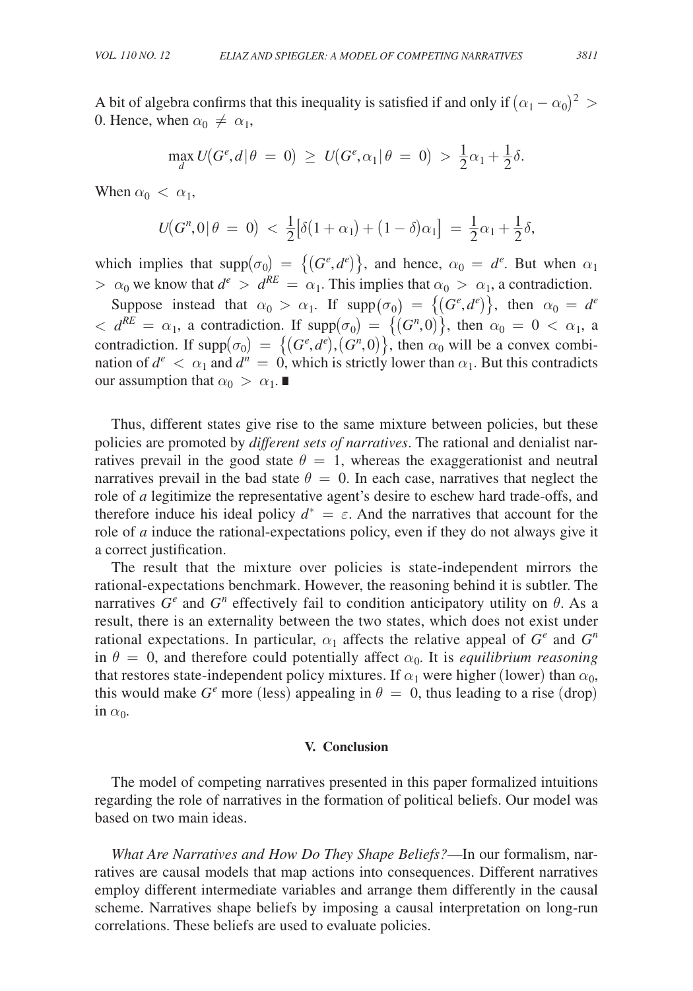A bit of algebra confirms that this inequality is satisfied if and only if  $(\alpha_1 - \alpha_0)^2$  > 0. Hence, when  $\alpha_0 \neq \alpha_1$ ,

$$
\max_{d} U(G^e, d | \theta = 0) \geq U(G^e, \alpha_1 | \theta = 0) > \frac{1}{2}\alpha_1 + \frac{1}{2}\delta.
$$

When  $\alpha_0 < \alpha_1$ ,

$$
U(G^n,0|\theta = 0) < \frac{1}{2} [\delta(1+\alpha_1) + (1-\delta)\alpha_1] = \frac{1}{2}\alpha_1 + \frac{1}{2}\delta,
$$

which implies that  $\text{supp}(\sigma_0) = \{(G^e, d^e)\}\$ , and hence,  $\alpha_0 = d^e$ . But when  $\alpha_1$  $> \alpha_0$  we know that  $d^e > d^{RE} = \alpha_1$ . This implies that  $\alpha_0 > \alpha_1$ , a contradiction.

Suppose instead that  $\alpha_0 > \alpha_1$ . If  $\text{supp}(\sigma_0) = \{(G^e, d^e)\}\$ , then  $\alpha_0 = d^e$  $d^{\mathcal{R}} = \alpha_1$ , a contradiction. If supp $(\sigma_0) = \{(G^n, 0)\}$ , then  $\alpha_0 = 0 < \alpha_1$ , a contradiction. If  $\text{supp}(\sigma_0) = \{(G^e, d^e), (G^n, 0)\},$  then  $\alpha_0$  will be a convex combination of  $d^e < \alpha_1$  and  $d^n = 0$ , which is strictly lower than  $\alpha_1$ . But this contradicts our assumption that  $\alpha_0 > \alpha_1$ .

Thus, different states give rise to the same mixture between policies, but these policies are promoted by *different sets of narratives*. The rational and denialist narratives prevail in the good state  $\theta = 1$ , whereas the exaggerationist and neutral narratives prevail in the bad state  $\theta = 0$ . In each case, narratives that neglect the role of *a* legitimize the representative agent's desire to eschew hard trade-offs, and therefore induce his ideal policy  $d^* = \varepsilon$ . And the narratives that account for the role of *a* induce the rational-expectations policy, even if they do not always give it a correct justification.

The result that the mixture over policies is state-independent mirrors the rational-expectations benchmark. However, the reasoning behind it is subtler. The narratives  $G^e$  and  $G^n$  effectively fail to condition anticipatory utility on  $\theta$ . As a result, there is an externality between the two states, which does not exist under rational expectations. In particular,  $\alpha_1$  affects the relative appeal of  $G^e$  and  $G^n$ in  $\theta = 0$ , and therefore could potentially affect  $\alpha_0$ . It is *equilibrium reasoning* that restores state-independent policy mixtures. If  $\alpha_1$  were higher (lower) than  $\alpha_0$ , this would make  $G^e$  more (less) appealing in  $\theta = 0$ , thus leading to a rise (drop) in  $\alpha_0$ .

#### **V. Conclusion**

The model of competing narratives presented in this paper formalized intuitions regarding the role of narratives in the formation of political beliefs. Our model was based on two main ideas.

*What Are Narratives and How Do They Shape Beliefs?*—In our formalism, narratives are causal models that map actions into consequences. Different narratives employ different intermediate variables and arrange them differently in the causal scheme. Narratives shape beliefs by imposing a causal interpretation on long-run correlations. These beliefs are used to evaluate policies.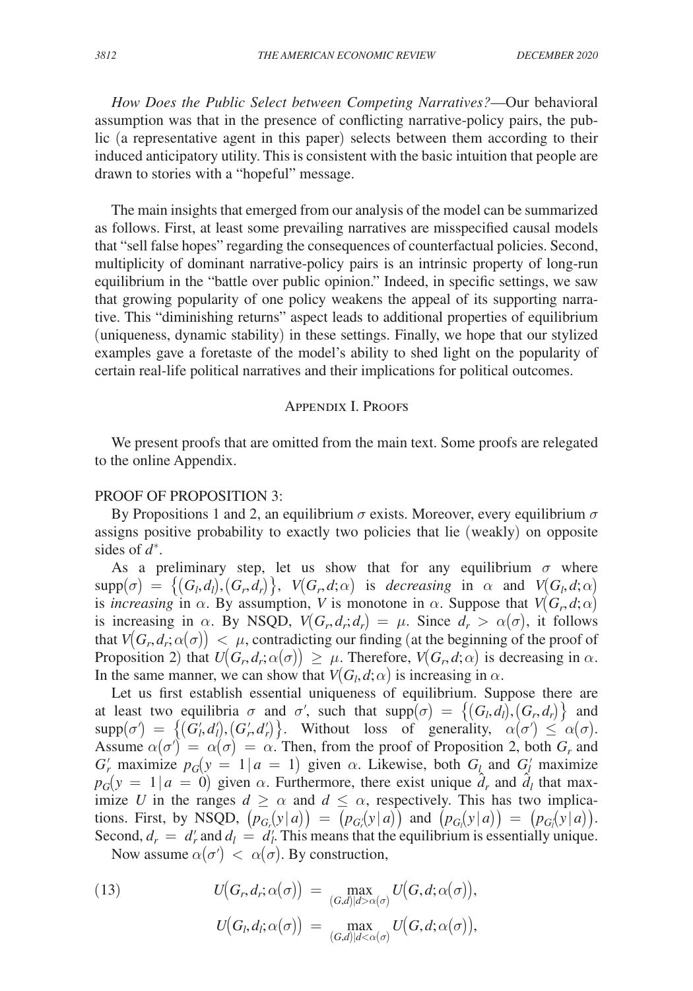*How Does the Public Select between Competing Narratives?*—Our behavioral assumption was that in the presence of conflicting narrative-policy pairs, the public (a representative agent in this paper) selects between them according to their induced anticipatory utility. This is consistent with the basic intuition that people are drawn to stories with a "hopeful" message.

The main insights that emerged from our analysis of the model can be summarized as follows. First, at least some prevailing narratives are misspecified causal models that "sell false hopes" regarding the consequences of counterfactual policies. Second, multiplicity of dominant narrative-policy pairs is an intrinsic property of long-run equilibrium in the "battle over public opinion." Indeed, in specific settings, we saw that growing popularity of one policy weakens the appeal of its supporting narrative. This "diminishing returns" aspect leads to additional properties of equilibrium (uniqueness, dynamic stability) in these settings. Finally, we hope that our stylized examples gave a foretaste of the model's ability to shed light on the popularity of certain real-life political narratives and their implications for political outcomes.

## Appendix I. Proofs

We present proofs that are omitted from the main text. Some proofs are relegated to the online Appendix.

## PROOF OF PROPOSITION 3:

By Propositions 1 and 2, an equilibrium  $\sigma$  exists. Moreover, every equilibrium  $\sigma$ assigns positive probability to exactly two policies that lie (weakly) on opposite sides of *d*<sup>∗</sup> .

As a preliminary step, let us show that for any equilibrium  $\sigma$  where  $\text{supp}(\sigma) = \{(G_l, d_l), (G_r, d_r)\},\ \ V(G_r, d; \alpha) \ \ \text{is } \ \ decreasing \ \ \text{in} \ \ \alpha \ \ \text{and} \ \ V(G_l, d; \alpha)$ is *increasing* in  $\alpha$ . By assumption, *V* is monotone in  $\alpha$ . Suppose that  $V(G_r, d; \alpha)$ is increasing in  $\alpha$ . By NSQD,  $V(G_r, d_r; d_r) = \mu$ . Since  $d_r > \alpha(\sigma)$ , it follows that  $V(G_r, d_r; \alpha(\sigma)) < \mu$ , contradicting our finding (at the beginning of the proof of Proposition 2) that  $U(G_r, d_r; \alpha(\sigma)) \geq \mu$ . Therefore,  $V(G_r, d; \alpha)$  is decreasing in  $\alpha$ . In the same manner, we can show that  $V(G_l, d; \alpha)$  is increasing in  $\alpha$ .

Let us first establish essential uniqueness of equilibrium. Suppose there are at least two equilibria  $\sigma$  and  $\sigma'$ , such that  $supp(\sigma) = \{(G_l, d_l), (G_r, d_r)\}\$  and  $\text{supp}(\sigma') = \{(G'_i, d'_i), (G'_i, d'_i)\}.$  Without loss of generality,  $\alpha(\sigma) \leq \alpha(\sigma)$ . Assume  $\alpha(\sigma) = \alpha(\sigma) = \alpha$ . Then, from the proof of Proposition 2, both  $G_r$  and *G*<sup>*r*</sup> maximize  $p_G(y = 1 | a = 1)$  given  $\alpha$ . Likewise, both  $G_l$  and  $G_l$  maximize  $p_G(y = 1 | a = 0)$  given  $\alpha$ . Furthermore, there exist unique  $\hat{d}_r$  and  $\hat{d}_l$  that maximize *U* in the ranges  $d \ge \alpha$  and  $d \le \alpha$ , respectively. This has two implications. First, by NSQD,  $(p_{G_r}(y|a)) = (p_{G_r}(y|a))$  and  $(p_{G_l}(y|a)) = (p_{G_l}(y|a))$ . Second,  $d_r = d'_r$  and  $d_l = d'_l$ . This means that the equilibrium is essentially unique.

Now assume  $\alpha(\sigma') < \alpha(\sigma)$ . By construction,

(13) 
$$
U(G_r, d_r; \alpha(\sigma)) = \max_{(G,d)|d > \alpha(\sigma)} U(G, d; \alpha(\sigma)),
$$

$$
U(G_l, d_l; \alpha(\sigma)) = \max_{(G,d)|d < \alpha(\sigma)} U(G, d; \alpha(\sigma)),
$$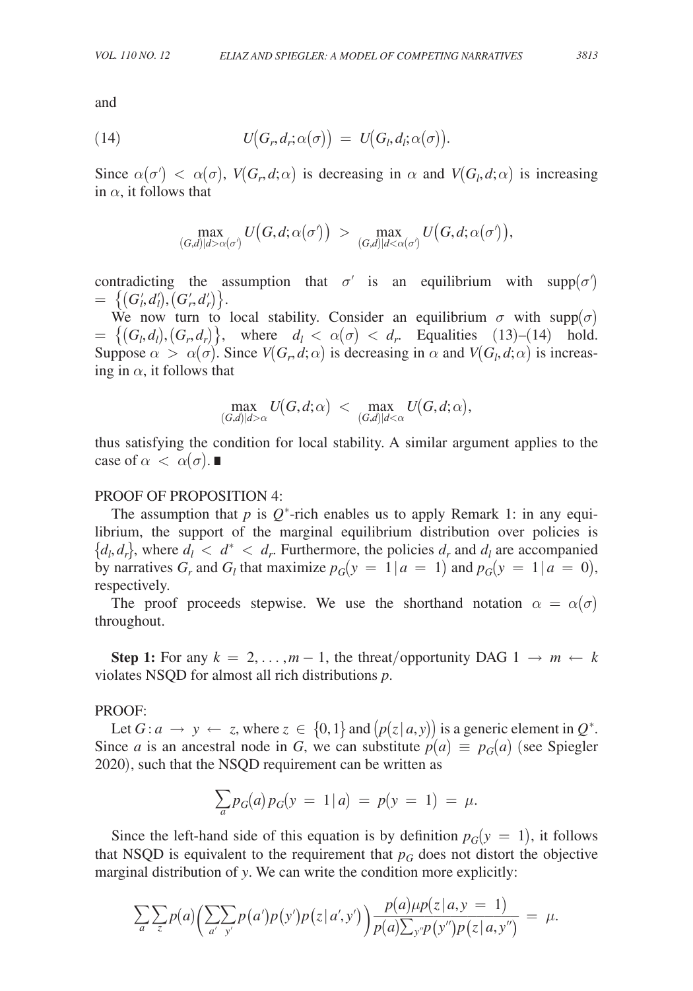and

(14) 
$$
U(G_r, d_r; \alpha(\sigma)) = U(G_l, d_l; \alpha(\sigma)).
$$

Since  $\alpha(\sigma) < \alpha(\sigma)$ ,  $V(G_r, d; \alpha)$  is decreasing in  $\alpha$  and  $V(G_l, d; \alpha)$  is increasing in  $\alpha$ , it follows that

$$
\max_{(G,d) | d \geq \alpha(\sigma)} U\big(G,d; \alpha(\sigma)\big) \ > \ \max_{(G,d) | d < \alpha(\sigma)} U\big(G,d; \alpha(\sigma')\big),
$$

contradicting the assumption that  $\sigma'$  is an equilibrium with supp $(\sigma')$  $= \{ (G'_l, d'_l), (G'_r, d'_r) \}.$ 

We now turn to local stability. Consider an equilibrium  $\sigma$  with supp( $\sigma$ )  $= \{(G_l, d_l), (G_r, d_r)\}, \text{ where } d_l < \alpha(\sigma) < d_r.$  Equalities (13)–(14) hold. Suppose  $\alpha > \alpha(\sigma)$ . Since  $V(G_r, d; \alpha)$  is decreasing in  $\alpha$  and  $V(G_l, d; \alpha)$  is increasing in  $\alpha$ , it follows that

$$
\max_{(G,d)|d>\alpha} U\big(G,d;\alpha\big) \ < \ \max_{(G,d)|d<\alpha} U\big(G,d;\alpha\big),
$$

thus satisfying the condition for local stability. A similar argument applies to the case of  $\alpha < \alpha(\sigma)$ .  $\blacksquare$ 

## PROOF OF PROPOSITION 4:

The assumption that  $p$  is  $Q^*$ -rich enables us to apply Remark 1: in any equilibrium, the support of the marginal equilibrium distribution over policies is  $\{d_l, d_r\}$ , where  $d_l < d^* < d_r$ . Furthermore, the policies  $d_r$  and  $d_l$  are accompanied by narratives  $G_r$  and  $G_l$  that maximize  $p_G(y = 1 | a = 1)$  and  $p_G(y = 1 | a = 0)$ , respectively.

The proof proceeds stepwise. We use the shorthand notation  $\alpha = \alpha(\sigma)$ throughout.

**Step 1:** For any  $k = 2, \ldots, m-1$ , the threat/opportunity DAG  $1 \rightarrow m \leftarrow k$ violates NSQD for almost all rich distributions *p*.

#### PROOF:

Let  $G: a \rightarrow y \leftarrow z$ , where  $z \in \{0,1\}$  and  $(p(z|a,y))$  is a generic element in  $Q^*$ . Since *a* is an ancestral node in *G*, we can substitute  $p(a) \equiv p_G(a)$  (see Spiegler 2020), such that the NSQD requirement can be written as

$$
\sum_{a} p_G(a) p_G(y = 1 | a) = p(y = 1) = \mu.
$$

Since the left-hand side of this equation is by definition  $p_G(y = 1)$ , it follows that NSQD is equivalent to the requirement that  $p_G$  does not distort the objective

marginal distribution of y. We can write the condition more explicitly:  
\n
$$
\sum_{a} \sum_{z} p(a) \Big( \sum_{a'} p(a') p(y') p(z|a', y') \Big) \frac{p(a) \mu p(z|a, y = 1)}{p(a) \sum_{y''} p(y'') p(z|a, y'')} = \mu.
$$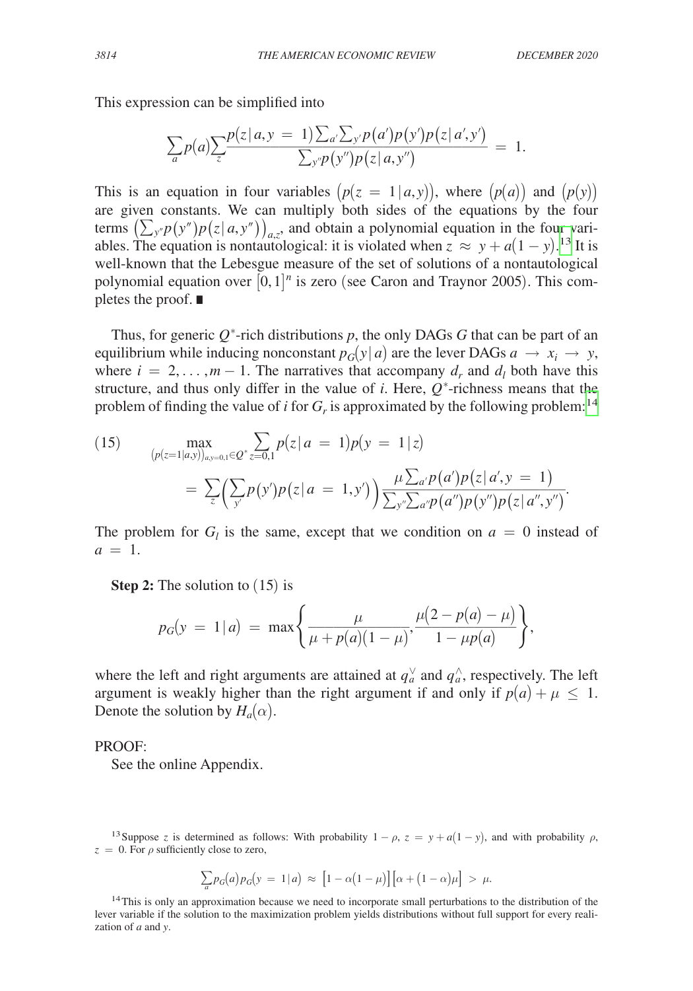This expression can be simplified into

This expression can be simplified into  
\n
$$
\sum_{a} p(a) \sum_{z} \frac{p(z|a, y = 1) \sum_{a'} \sum_{y'} p(a')p(y')p(z|a', y')}{\sum_{y''} p(y'')p(z|a, y'')} = 1.
$$

This is an equation in four variables  $(p(z = 1 | a, y))$ , where  $(p(a))$  and  $(p(y))$ are given constants. We can multiply both sides of the equations by the four terms  $(\sum_{y''} p(y'')p(z|a, y''))_{a,z}$ , and obtain a polynomial equation in the four variables. The equation is nontautological: it is violated when  $z \approx y + a(1 - y)$ .<sup>13</sup> It is well-known that the Lebesgue measure of the set of solutions of a nontautological polynomial equation over  $[0,1]^n$  is zero (see Caron and Traynor 2005). This completes the proof. ∎

Thus, for generic  $Q^*$ -rich distributions  $p$ , the only DAGs  $G$  that can be part of an equilibrium while inducing nonconstant  $p_G(y|a)$  are the lever DAGs  $a \rightarrow x_i \rightarrow y$ , where  $i = 2, \ldots, m - 1$ . The narratives that accompany  $d_r$  and  $d_l$  both have this structure, and thus only differ in the value of  $i$ . Here,  $Q^*$ -richness means that the problem of finding the value of *i* for  $G_r$  is approximated by the following problem:<sup>[14](#page-28-1)</sup>

(15) 
$$
\max_{(p(z=1|a,y))_{a,y=0,1}\in Q^*} \sum_{z=0,1} p(z|a=1)p(y=1|z)
$$

$$
= \sum_{z} (\sum_{y'} p(y')p(z|a=1,y')) \frac{\mu \sum_{a'} p(a')p(z|a',y=1)}{\sum_{y''} \sum_{a''} p(a'')p(y'')p(z|a'',y'')}.
$$

The problem for  $G_l$  is the same, except that we condition on  $a = 0$  instead of  $a = 1$ .

**Step 2:** The solution to  $(15)$  is

Step 2: The solution to (13) is  

$$
p_G(y = 1 | a) = \max \left\{ \frac{\mu}{\mu + p(a)(1 - \mu)}, \frac{\mu(2 - p(a) - \mu)}{1 - \mu p(a)} \right\},
$$

where the left and right arguments are attained at  $q_a^{\vee}$  and  $q_a^{\wedge}$ , respectively. The left argument is weakly higher than the right argument if and only if  $p(a) + \mu \leq 1$ . Denote the solution by  $H_a(\alpha)$ .

#### PROOF:

See the online Appendix.

<span id="page-28-0"></span><sup>13</sup>Suppose *z* is determined as follows: With probability  $1 - \rho$ ,  $z = y + a(1 - y)$ , and with probability  $\rho$ ,  $z = 0$ . For  $\rho$  sufficiently close to zero,

$$
\sum_{a} p_G(a) p_G(y) = 1|a) \approx [1 - \alpha(1 - \mu)][\alpha + (1 - \alpha)\mu] > \mu.
$$

<span id="page-28-1"></span><sup>14</sup>This is only an approximation because we need to incorporate small perturbations to the distribution of the lever variable if the solution to the maximization problem yields distributions without full support for every realization of *a* and *y*.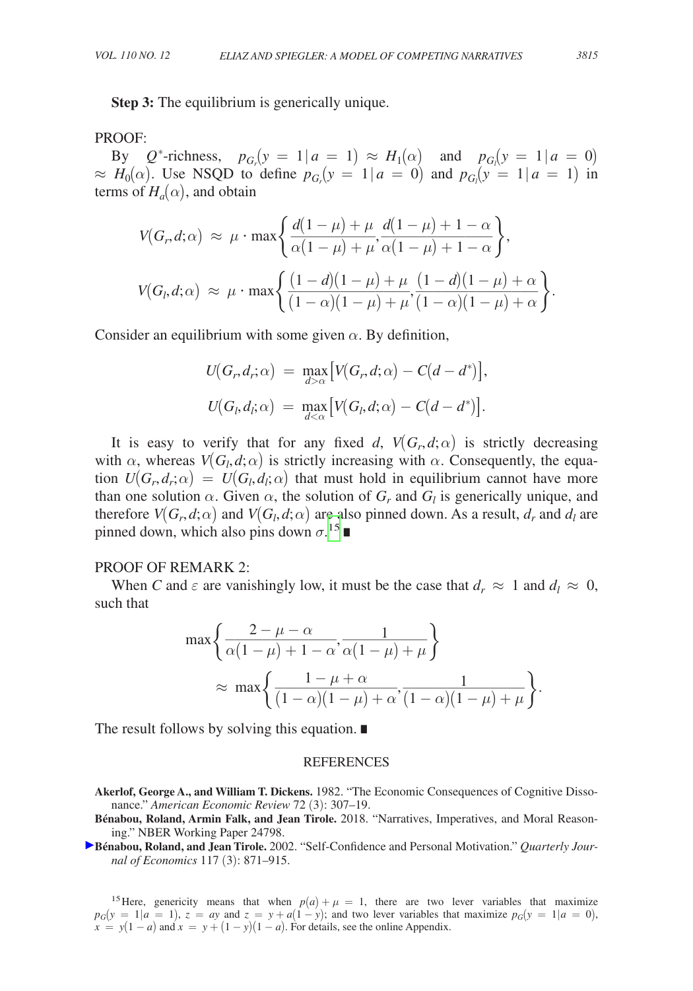**Step 3:** The equilibrium is generically unique.

## PROOF:

By  $Q^*$ -richness,  $p_{G_r}(y = 1 | a = 1) \approx H_1(\alpha)$  and  $p_{G_l}(y = 1 | a = 0)$  $\approx H_0(\alpha)$ . Use NSQD to define  $p_{G_r}(y = 1 | a = 0)$  and  $p_{G_l}(y = 1 | a = 1)$  in terms of  $H_a(\alpha)$ , and obtain

By 
$$
Q^*
$$
-richness,  $p_{G_r}(y = 1 | a = 1) \approx H_1(\alpha)$  and  $p_{G_l}(y = 1 | a \approx H_0(\alpha))$ . Use NSQD to define  $p_{G_r}(y = 1 | a = 0)$  and  $p_{G_l}(y = 1 | a =$   
terms of  $H_a(\alpha)$ , and obtain  

$$
V(G_r, d; \alpha) \approx \mu \cdot \max \left\{ \frac{d(1 - \mu) + \mu}{\alpha(1 - \mu) + \mu}, \frac{d(1 - \mu) + 1 - \alpha}{\alpha(1 - \mu) + 1 - \alpha} \right\},
$$

$$
V(G_l, d; \alpha) \approx \mu \cdot \max \left\{ \frac{(1 - d)(1 - \mu) + \mu}{(1 - \alpha)(1 - \mu) + \mu}, \frac{(1 - d)(1 - \mu) + \alpha}{(1 - \alpha)(1 - \mu) + \alpha} \right\}.
$$

Consider an equilibrium with some given  $\alpha$ . By definition,

$$
U(G_r, d_r; \alpha) = \max_{d > \alpha} \left[ V(G_r, d; \alpha) - C(d - d^*) \right],
$$
  

$$
U(G_l, d_l; \alpha) = \max_{d < \alpha} \left[ V(G_l, d; \alpha) - C(d - d^*) \right].
$$

It is easy to verify that for any fixed *d*,  $V(G_r, d; \alpha)$  is strictly decreasing with  $\alpha$ , whereas  $V(G_l, d; \alpha)$  is strictly increasing with  $\alpha$ . Consequently, the equation  $U(G_r, d_r; \alpha) = U(G_l, d_l; \alpha)$  that must hold in equilibrium cannot have more than one solution  $\alpha$ . Given  $\alpha$ , the solution of  $G_r$  and  $G_l$  is generically unique, and therefore  $V(G_r, d; \alpha)$  and  $V(G_l, d; \alpha)$  are also pinned down. As a result,  $d_r$  and  $d_l$  are pinned down, which also pins down  $\sigma$ .<sup>[15](#page-29-0)</sup> ■

## PROOF OF REMARK 2:

When *C* and  $\varepsilon$  are vanishingly low, it must be the case that  $d_r \approx 1$  and  $d_l \approx 0$ , such that

PROOF OF REMARK 2:  
\nWhen C and 
$$
\varepsilon
$$
 are vanishingly low, it must be the case that  $d_r \approx 1$  and a  
\nsuch that\n
$$
\max \left\{ \frac{2 - \mu - \alpha}{\alpha (1 - \mu) + 1 - \alpha}, \frac{1}{\alpha (1 - \mu) + \mu} \right\}
$$
\n
$$
\approx \max \left\{ \frac{1 - \mu + \alpha}{(1 - \alpha)(1 - \mu) + \alpha}, \frac{1}{(1 - \alpha)(1 - \mu) + \mu} \right\}.
$$
\nThe result follows by solving this equation.

The result follows by solving this equation. ∎

#### REFERENCES

- **Akerlof, George A., and William T. Dickens.** 1982. "The Economic Consequences of Cognitive Dissonance." *American Economic Review* 72 (3): 307–19.
- **Bénabou, Roland, Armin Falk, and Jean Tirole.** 2018. "Narratives, Imperatives, and Moral Reasoning." NBER Working Paper 24798.
- **[B](http://pubs.aeaweb.org/action/showLinks?crossref=10.1162%2F003355302760193913&citationId=p_3)énabou, Roland, and Jean Tirole.** 2002. "Self-Confidence and Personal Motivation." *Quarterly Journal of Economics* 117 (3): 871–915.

<span id="page-29-0"></span><sup>15</sup>Here, genericity means that when  $p(a) + \mu = 1$ , there are two lever variables that maximize  $p_G(y = 1 | a = 1)$ ,  $z = ay$  and  $z = y + a(1 - y)$ ; and two lever variables that maximize  $p_G(y = 1 | a = 0)$ ,  $x = y(1 - a)$  and  $x = y + (1 - y)(1 - a)$ . For details, see the online Appendix.